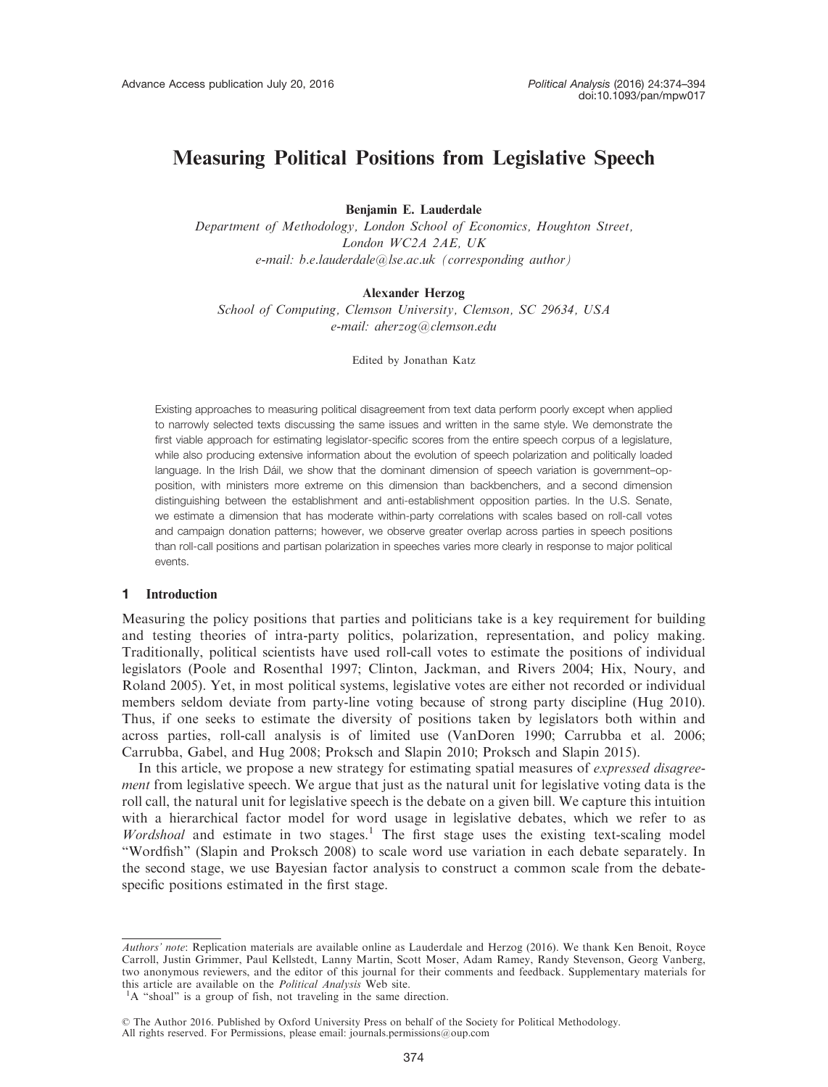# Measuring Political Positions from Legislative Speech

Benjamin E. Lauderdale

Department of Methodology, London School of Economics, Houghton Street, London WC2A 2AE, UK e-mail: b.e.lauderdale@lse.ac.uk (corresponding author)

# Alexander Herzog

School of Computing, Clemson University, Clemson, SC 29634, USA e-mail: aherzog@clemson.edu

Edited by Jonathan Katz

Existing approaches to measuring political disagreement from text data perform poorly except when applied to narrowly selected texts discussing the same issues and written in the same style. We demonstrate the first viable approach for estimating legislator-specific scores from the entire speech corpus of a legislature, while also producing extensive information about the evolution of speech polarization and politically loaded language. In the Irish Dáil, we show that the dominant dimension of speech variation is government-opposition, with ministers more extreme on this dimension than backbenchers, and a second dimension distinguishing between the establishment and anti-establishment opposition parties. In the U.S. Senate, we estimate a dimension that has moderate within-party correlations with scales based on roll-call votes and campaign donation patterns; however, we observe greater overlap across parties in speech positions than roll-call positions and partisan polarization in speeches varies more clearly in response to major political events.

# 1 Introduction

Measuring the policy positions that parties and politicians take is a key requirement for building and testing theories of intra-party politics, polarization, representation, and policy making. Traditionally, political scientists have used roll-call votes to estimate the positions of individual legislators ([Poole and Rosenthal 1997](#page-20-0); [Clinton, Jackman, and Rivers 2004](#page-19-0); [Hix, Noury, and](#page-19-0) [Roland 2005](#page-19-0)). Yet, in most political systems, legislative votes are either not recorded or individual members seldom deviate from party-line voting because of strong party discipline ([Hug 2010\)](#page-19-0). Thus, if one seeks to estimate the diversity of positions taken by legislators both within and across parties, roll-call analysis is of limited use [\(VanDoren 1990;](#page-20-0) [Carrubba et al. 2006;](#page-19-0) [Carrubba, Gabel, and Hug 2008;](#page-19-0) [Proksch and Slapin 2010](#page-20-0); [Proksch and Slapin 2015\)](#page-20-0).

In this article, we propose a new strategy for estimating spatial measures of *expressed disagree*ment from legislative speech. We argue that just as the natural unit for legislative voting data is the roll call, the natural unit for legislative speech is the debate on a given bill. We capture this intuition with a hierarchical factor model for word usage in legislative debates, which we refer to as *Wordshoal* and estimate in two stages.<sup>1</sup> The first stage uses the existing text-scaling model "Wordfish" [\(Slapin and Proksch 2008\)](#page-20-0) to scale word use variation in each debate separately. In the second stage, we use Bayesian factor analysis to construct a common scale from the debatespecific positions estimated in the first stage.

Authors' note: Replication materials are available online as [Lauderdale and Herzog \(2016\).](#page-19-0) We thank Ken Benoit, Royce Carroll, Justin Grimmer, Paul Kellstedt, Lanny Martin, Scott Moser, Adam Ramey, Randy Stevenson, Georg Vanberg, two anonymous reviewers, and the editor of this journal for their comments and feedback. [Supplementary materials](http://pan.oxfordjournals.org/lookup/suppl/doi:10.1093/pan/mpw017/-/DC1) for this article are available on the *Political Analysis* Web site.

<sup>&</sup>lt;sup>1</sup>A "shoal" is a group of fish, not traveling in the same direction.

<sup>-</sup> The Author 2016. Published by Oxford University Press on behalf of the Society for Political Methodology. All rights reserved. For Permissions, please email: journals.permissions@oup.com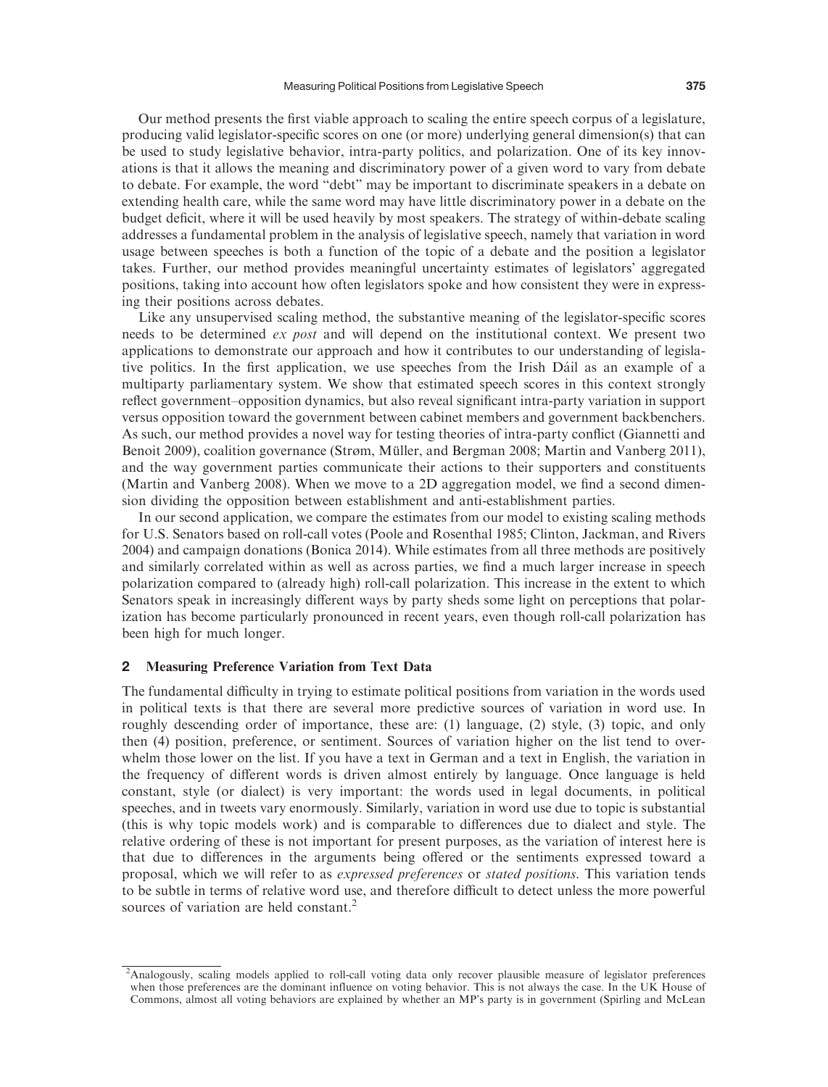Our method presents the first viable approach to scaling the entire speech corpus of a legislature, producing valid legislator-specific scores on one (or more) underlying general dimension(s) that can be used to study legislative behavior, intra-party politics, and polarization. One of its key innovations is that it allows the meaning and discriminatory power of a given word to vary from debate to debate. For example, the word "debt" may be important to discriminate speakers in a debate on extending health care, while the same word may have little discriminatory power in a debate on the budget deficit, where it will be used heavily by most speakers. The strategy of within-debate scaling addresses a fundamental problem in the analysis of legislative speech, namely that variation in word usage between speeches is both a function of the topic of a debate and the position a legislator takes. Further, our method provides meaningful uncertainty estimates of legislators' aggregated positions, taking into account how often legislators spoke and how consistent they were in expressing their positions across debates.

Like any unsupervised scaling method, the substantive meaning of the legislator-specific scores needs to be determined ex post and will depend on the institutional context. We present two applications to demonstrate our approach and how it contributes to our understanding of legislative politics. In the first application, we use speeches from the Irish Datil as an example of a multiparty parliamentary system. We show that estimated speech scores in this context strongly reflect government–opposition dynamics, but also reveal significant intra-party variation in support versus opposition toward the government between cabinet members and government backbenchers. As such, our method provides a novel way for testing theories of intra-party conflict ([Giannetti and](#page-19-0) [Benoit 2009](#page-19-0)), coalition governance (Strøm, Müller, and Bergman 2008; [Martin and Vanberg 2011\)](#page-19-0), and the way government parties communicate their actions to their supporters and constituents ([Martin and Vanberg 2008\)](#page-19-0). When we move to a 2D aggregation model, we find a second dimension dividing the opposition between establishment and anti-establishment parties.

In our second application, we compare the estimates from our model to existing scaling methods for U.S. Senators based on roll-call votes [\(Poole and Rosenthal 1985](#page-19-0); [Clinton, Jackman, and Rivers](#page-19-0) [2004\)](#page-19-0) and campaign donations [\(Bonica 2014\)](#page-19-0). While estimates from all three methods are positively and similarly correlated within as well as across parties, we find a much larger increase in speech polarization compared to (already high) roll-call polarization. This increase in the extent to which Senators speak in increasingly different ways by party sheds some light on perceptions that polarization has become particularly pronounced in recent years, even though roll-call polarization has been high for much longer.

### 2 Measuring Preference Variation from Text Data

The fundamental difficulty in trying to estimate political positions from variation in the words used in political texts is that there are several more predictive sources of variation in word use. In roughly descending order of importance, these are: (1) language, (2) style, (3) topic, and only then (4) position, preference, or sentiment. Sources of variation higher on the list tend to overwhelm those lower on the list. If you have a text in German and a text in English, the variation in the frequency of different words is driven almost entirely by language. Once language is held constant, style (or dialect) is very important: the words used in legal documents, in political speeches, and in tweets vary enormously. Similarly, variation in word use due to topic is substantial (this is why topic models work) and is comparable to differences due to dialect and style. The relative ordering of these is not important for present purposes, as the variation of interest here is that due to differences in the arguments being offered or the sentiments expressed toward a proposal, which we will refer to as expressed preferences or stated positions. This variation tends to be subtle in terms of relative word use, and therefore difficult to detect unless the more powerful sources of variation are held constant.<sup>2</sup>

<sup>&</sup>lt;sup>2</sup>Analogously, scaling models applied to roll-call voting data only recover plausible measure of legislator preferences when those preferences are the dominant influence on voting behavior. This is not always the case. In the UK House of Commons, almost all voting behaviors are explained by whether an MP's party is in government [\(Spirling and McLean](#page-20-0)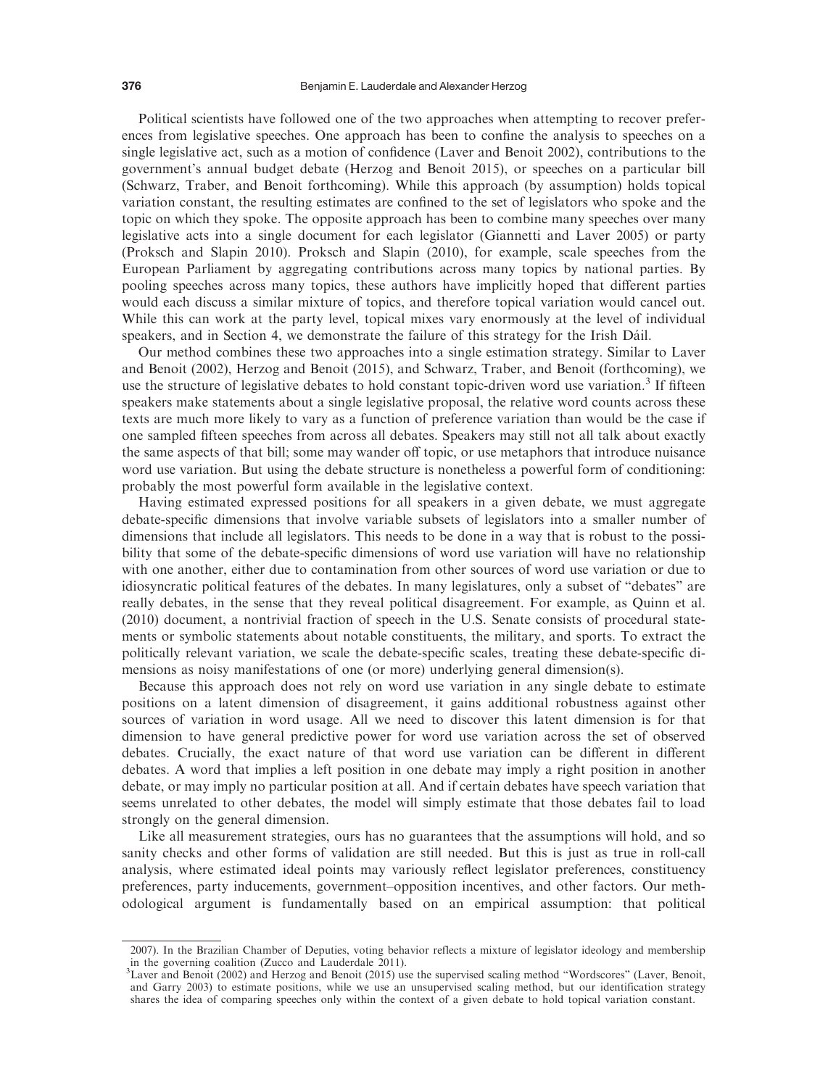Political scientists have followed one of the two approaches when attempting to recover preferences from legislative speeches. One approach has been to confine the analysis to speeches on a single legislative act, such as a motion of confidence [\(Laver and Benoit 2002\)](#page-19-0), contributions to the government's annual budget debate [\(Herzog and Benoit 2015](#page-19-0)), or speeches on a particular bill (Schwarz, Traber, and Benoit forthcoming). While this approach (by assumption) holds topical variation constant, the resulting estimates are confined to the set of legislators who spoke and the topic on which they spoke. The opposite approach has been to combine many speeches over many legislative acts into a single document for each legislator ([Giannetti and Laver 2005](#page-19-0)) or party ([Proksch and Slapin 2010\)](#page-20-0). [Proksch and Slapin \(2010\),](#page-20-0) for example, scale speeches from the European Parliament by aggregating contributions across many topics by national parties. By pooling speeches across many topics, these authors have implicitly hoped that different parties would each discuss a similar mixture of topics, and therefore topical variation would cancel out. While this can work at the party level, topical mixes vary enormously at the level of individual speakers, and in Section 4, we demonstrate the failure of this strategy for the Irish Dáil.

Our method combines these two approaches into a single estimation strategy. Similar to [Laver](#page-19-0) [and Benoit \(2002\)](#page-19-0), [Herzog and Benoit \(2015\)](#page-19-0), and Schwarz, Traber, and Benoit (forthcoming), we use the structure of legislative debates to hold constant topic-driven word use variation.<sup>3</sup> If fifteen speakers make statements about a single legislative proposal, the relative word counts across these texts are much more likely to vary as a function of preference variation than would be the case if one sampled fifteen speeches from across all debates. Speakers may still not all talk about exactly the same aspects of that bill; some may wander off topic, or use metaphors that introduce nuisance word use variation. But using the debate structure is nonetheless a powerful form of conditioning: probably the most powerful form available in the legislative context.

Having estimated expressed positions for all speakers in a given debate, we must aggregate debate-specific dimensions that involve variable subsets of legislators into a smaller number of dimensions that include all legislators. This needs to be done in a way that is robust to the possibility that some of the debate-specific dimensions of word use variation will have no relationship with one another, either due to contamination from other sources of word use variation or due to idiosyncratic political features of the debates. In many legislatures, only a subset of "debates" are really debates, in the sense that they reveal political disagreement. For example, as [Quinn et al.](#page-20-0) [\(2010\)](#page-20-0) document, a nontrivial fraction of speech in the U.S. Senate consists of procedural statements or symbolic statements about notable constituents, the military, and sports. To extract the politically relevant variation, we scale the debate-specific scales, treating these debate-specific dimensions as noisy manifestations of one (or more) underlying general dimension(s).

Because this approach does not rely on word use variation in any single debate to estimate positions on a latent dimension of disagreement, it gains additional robustness against other sources of variation in word usage. All we need to discover this latent dimension is for that dimension to have general predictive power for word use variation across the set of observed debates. Crucially, the exact nature of that word use variation can be different in different debates. A word that implies a left position in one debate may imply a right position in another debate, or may imply no particular position at all. And if certain debates have speech variation that seems unrelated to other debates, the model will simply estimate that those debates fail to load strongly on the general dimension.

Like all measurement strategies, ours has no guarantees that the assumptions will hold, and so sanity checks and other forms of validation are still needed. But this is just as true in roll-call analysis, where estimated ideal points may variously reflect legislator preferences, constituency preferences, party inducements, government–opposition incentives, and other factors. Our methodological argument is fundamentally based on an empirical assumption: that political

[<sup>2007\)</sup>](#page-20-0). In the Brazilian Chamber of Deputies, voting behavior reflects a mixture of legislator ideology and membership in the governing coalition ([Zucco and Lauderdale 2011\)](#page-20-0).

<sup>&</sup>lt;sup>3</sup>[Laver and Benoit \(2002\)](#page-19-0) and [Herzog and Benoit \(2015\)](#page-19-0) use the supervised scaling method "Wordscores" ([Laver, Benoit,](#page-19-0) [and Garry 2003](#page-19-0)) to estimate positions, while we use an unsupervised scaling method, but our identification strategy shares the idea of comparing speeches only within the context of a given debate to hold topical variation constant.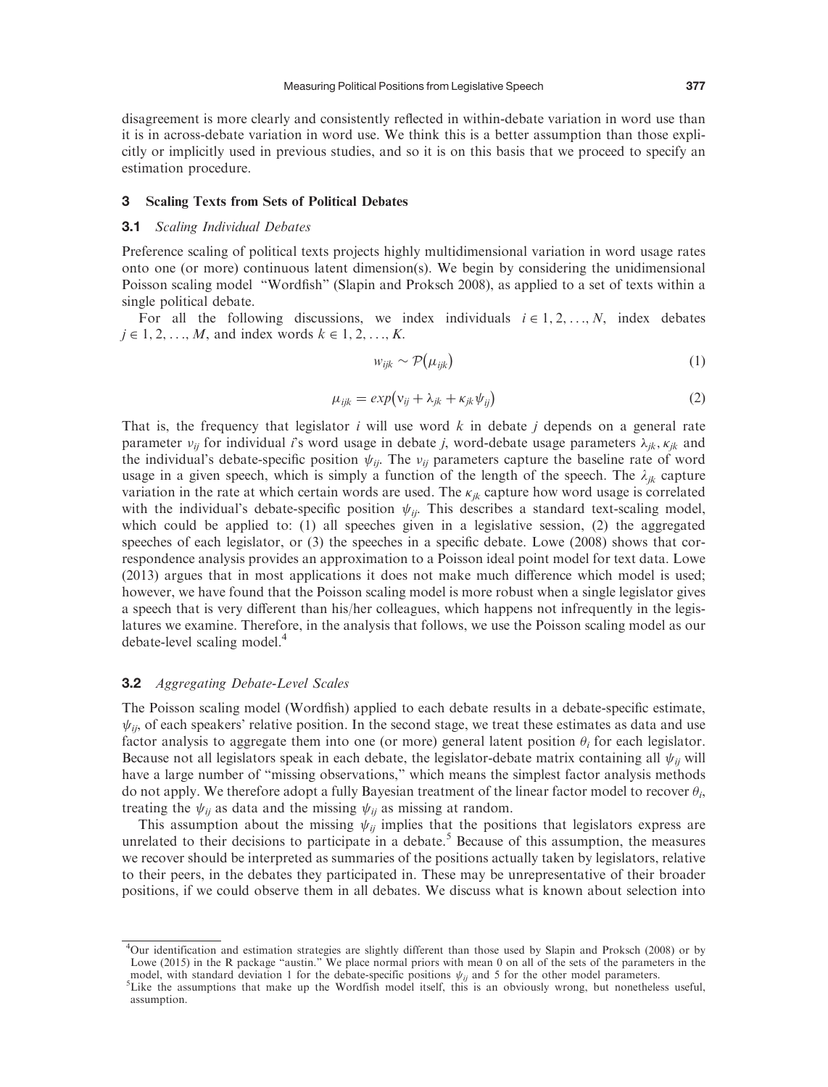disagreement is more clearly and consistently reflected in within-debate variation in word use than it is in across-debate variation in word use. We think this is a better assumption than those explicitly or implicitly used in previous studies, and so it is on this basis that we proceed to specify an estimation procedure.

### 3 Scaling Texts from Sets of Political Debates

#### **3.1** Scaling Individual Debates

Preference scaling of political texts projects highly multidimensional variation in word usage rates onto one (or more) continuous latent dimension(s). We begin by considering the unidimensional Poisson scaling model "Wordfish" [\(Slapin and Proksch 2008](#page-20-0)), as applied to a set of texts within a single political debate.

For all the following discussions, we index individuals  $i \in 1, 2, ..., N$ , index debates  $j \in 1, 2, ..., M$ , and index words  $k \in 1, 2, ..., K$ .

$$
w_{ijk} \sim \mathcal{P}(\mu_{ijk})
$$
 (1)

$$
\mu_{ijk} = exp(v_{ij} + \lambda_{jk} + \kappa_{jk}\psi_{ij})
$$
\n(2)

That is, the frequency that legislator  $i$  will use word  $k$  in debate  $j$  depends on a general rate parameter  $v_{ij}$  for individual i's word usage in debate j, word-debate usage parameters  $\lambda_{ik}$ ,  $\kappa_{ik}$  and the individual's debate-specific position  $\psi_{ij}$ . The  $\nu_{ij}$  parameters capture the baseline rate of word usage in a given speech, which is simply a function of the length of the speech. The  $\lambda_{ik}$  capture variation in the rate at which certain words are used. The  $\kappa_{ik}$  capture how word usage is correlated with the individual's debate-specific position  $\psi_{ij}$ . This describes a standard text-scaling model, which could be applied to: (1) all speeches given in a legislative session, (2) the aggregated speeches of each legislator, or (3) the speeches in a specific debate. [Lowe \(2008\)](#page-19-0) shows that correspondence analysis provides an approximation to a Poisson ideal point model for text data. [Lowe](#page-19-0) [\(2013\)](#page-19-0) argues that in most applications it does not make much difference which model is used; however, we have found that the Poisson scaling model is more robust when a single legislator gives a speech that is very different than his/her colleagues, which happens not infrequently in the legislatures we examine. Therefore, in the analysis that follows, we use the Poisson scaling model as our debate-level scaling model.4

### **3.2** Aggregating Debate-Level Scales

The Poisson scaling model (Wordfish) applied to each debate results in a debate-specific estimate,  $\psi_{ii}$ , of each speakers' relative position. In the second stage, we treat these estimates as data and use factor analysis to aggregate them into one (or more) general latent position  $\theta_i$  for each legislator. Because not all legislators speak in each debate, the legislator-debate matrix containing all  $\psi_{ij}$  will have a large number of "missing observations," which means the simplest factor analysis methods do not apply. We therefore adopt a fully Bayesian treatment of the linear factor model to recover  $\theta_i$ , treating the  $\psi_{ij}$  as data and the missing  $\psi_{ij}$  as missing at random.

This assumption about the missing  $\psi_{ij}$  implies that the positions that legislators express are unrelated to their decisions to participate in a debate.<sup>5</sup> Because of this assumption, the measures we recover should be interpreted as summaries of the positions actually taken by legislators, relative to their peers, in the debates they participated in. These may be unrepresentative of their broader positions, if we could observe them in all debates. We discuss what is known about selection into

<sup>4</sup> Our identification and estimation strategies are slightly different than those used by [Slapin and Proksch \(2008\)](#page-20-0) or by [Lowe \(2015\)](#page-19-0) in the R package "austin." We place normal priors with mean 0 on all of the sets of the parameters in the model, with standard deviation 1 for the debate-specific positions  $\psi_{ij}$  and 5 for the other model parameters.

 ${}^5$ Like the assumptions that make up the Wordfish model itself, this is an obviously wrong, but nonetheless useful, assumption.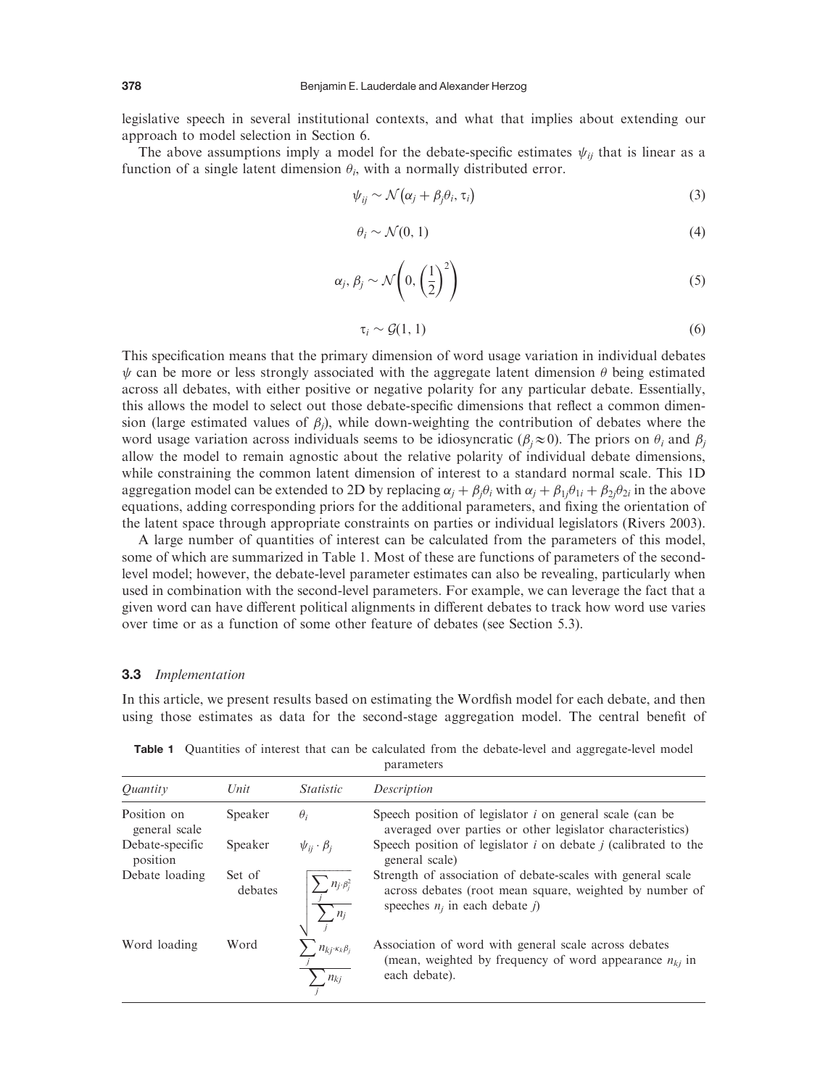<span id="page-4-0"></span>legislative speech in several institutional contexts, and what that implies about extending our approach to model selection in Section 6.

The above assumptions imply a model for the debate-specific estimates  $\psi_{ii}$  that is linear as a function of a single latent dimension  $\theta_i$ , with a normally distributed error.

$$
\psi_{ij} \sim \mathcal{N}(\alpha_j + \beta_j \theta_i, \tau_i)
$$
\n(3)

$$
\theta_i \sim \mathcal{N}(0, 1) \tag{4}
$$

$$
\alpha_j, \beta_j \sim \mathcal{N}\left(0, \left(\frac{1}{2}\right)^2\right) \tag{5}
$$

$$
\tau_i \sim \mathcal{G}(1, 1) \tag{6}
$$

This specification means that the primary dimension of word usage variation in individual debates  $\psi$  can be more or less strongly associated with the aggregate latent dimension  $\theta$  being estimated across all debates, with either positive or negative polarity for any particular debate. Essentially, this allows the model to select out those debate-specific dimensions that reflect a common dimension (large estimated values of  $\beta_i$ ), while down-weighting the contribution of debates where the word usage variation across individuals seems to be idiosyncratic ( $\beta_i \approx 0$ ). The priors on  $\theta_i$  and  $\beta_i$ allow the model to remain agnostic about the relative polarity of individual debate dimensions, while constraining the common latent dimension of interest to a standard normal scale. This 1D aggregation model can be extended to 2D by replacing  $\alpha_i + \beta_i \theta_i$  with  $\alpha_i + \beta_{1i} \theta_{1i} + \beta_{2i} \theta_{2i}$  in the above equations, adding corresponding priors for the additional parameters, and fixing the orientation of the latent space through appropriate constraints on parties or individual legislators [\(Rivers 2003\)](#page-20-0).

A large number of quantities of interest can be calculated from the parameters of this model, some of which are summarized in Table 1. Most of these are functions of parameters of the secondlevel model; however, the debate-level parameter estimates can also be revealing, particularly when used in combination with the second-level parameters. For example, we can leverage the fact that a given word can have different political alignments in different debates to track how word use varies over time or as a function of some other feature of debates (see Section 5.3).

# 3.3 Implementation

In this article, we present results based on estimating the Wordfish model for each debate, and then using those estimates as data for the second-stage aggregation model. The central benefit of

| paraments                    |                   |                                             |                                                                                                                                                               |
|------------------------------|-------------------|---------------------------------------------|---------------------------------------------------------------------------------------------------------------------------------------------------------------|
| Quantity                     | Unit              | <i>Statistic</i>                            | Description                                                                                                                                                   |
| Position on<br>general scale | Speaker           | $\theta_i$                                  | Speech position of legislator $i$ on general scale (can be<br>averaged over parties or other legislator characteristics)                                      |
| Debate-specific<br>position  | Speaker           | $\psi_{ij} \cdot \beta_i$                   | Speech position of legislator $i$ on debate $j$ (calibrated to the<br>general scale)                                                                          |
| Debate loading               | Set of<br>debates | $n_j \cdot \beta_j^2$<br>$n_i$              | Strength of association of debate-scales with general scale<br>across debates (root mean square, weighted by number of<br>speeches $n_i$ in each debate $i$ ) |
| Word loading                 | Word              | $n_{kj} \cdot \kappa_k \beta_j$<br>$n_{ki}$ | Association of word with general scale across debates<br>(mean, weighted by frequency of word appearance $n_{ki}$ in<br>each debate).                         |

Table 1 Quantities of interest that can be calculated from the debate-level and aggregate-level model parameters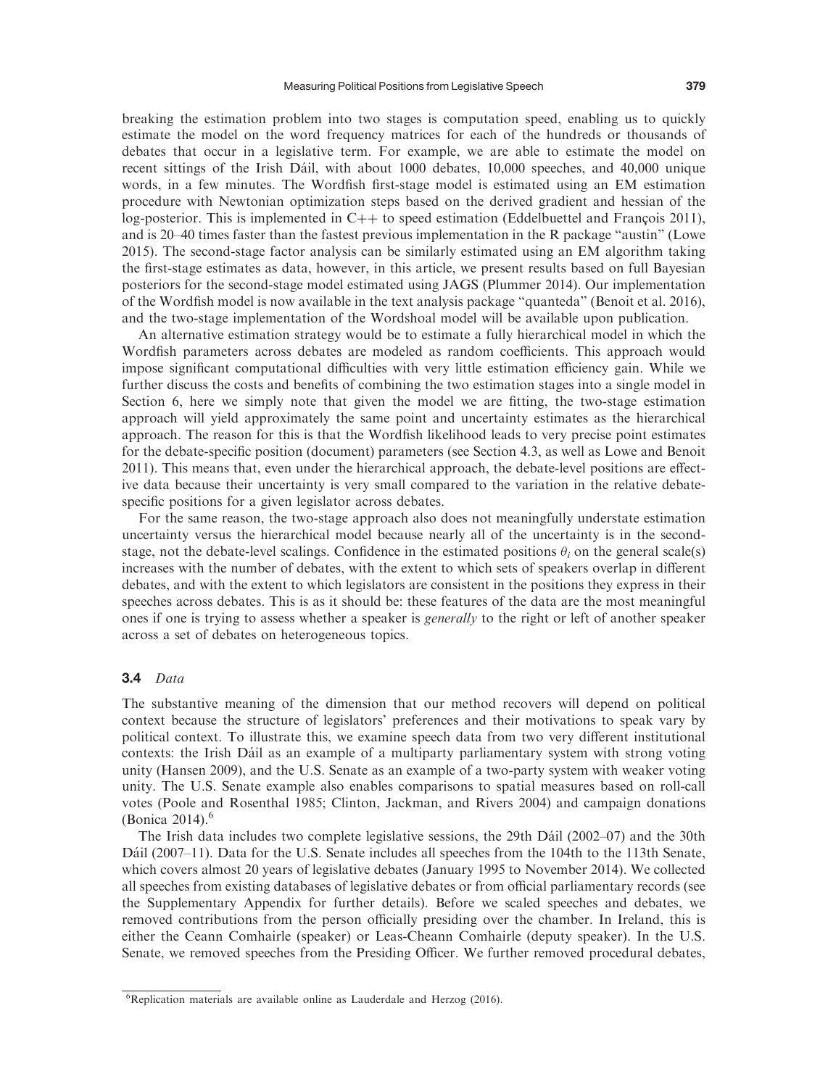breaking the estimation problem into two stages is computation speed, enabling us to quickly estimate the model on the word frequency matrices for each of the hundreds or thousands of debates that occur in a legislative term. For example, we are able to estimate the model on recent sittings of the Irish Dáil, with about 1000 debates, 10,000 speeches, and 40,000 unique words, in a few minutes. The Wordfish first-stage model is estimated using an EM estimation procedure with Newtonian optimization steps based on the derived gradient and hessian of the log-posterior. This is implemented in  $C++$  to speed estimation (Eddelbuettel and François 2011), and is 20–40 times faster than the fastest previous implementation in the R package "austin" ([Lowe](#page-19-0) [2015\)](#page-19-0). The second-stage factor analysis can be similarly estimated using an EM algorithm taking the first-stage estimates as data, however, in this article, we present results based on full Bayesian posteriors for the second-stage model estimated using JAGS ([Plummer 2014](#page-19-0)). Our implementation of the Wordfish model is now available in the text analysis package "quanteda" [\(Benoit et al. 2016\)](#page-19-0), and the two-stage implementation of the Wordshoal model will be available upon publication.

An alternative estimation strategy would be to estimate a fully hierarchical model in which the Wordfish parameters across debates are modeled as random coefficients. This approach would impose significant computational difficulties with very little estimation efficiency gain. While we further discuss the costs and benefits of combining the two estimation stages into a single model in Section 6, here we simply note that given the model we are fitting, the two-stage estimation approach will yield approximately the same point and uncertainty estimates as the hierarchical approach. The reason for this is that the Wordfish likelihood leads to very precise point estimates for the debate-specific position (document) parameters (see Section 4.3, as well as [Lowe and Benoit](#page-19-0) [2011\)](#page-19-0). This means that, even under the hierarchical approach, the debate-level positions are effective data because their uncertainty is very small compared to the variation in the relative debatespecific positions for a given legislator across debates.

For the same reason, the two-stage approach also does not meaningfully understate estimation uncertainty versus the hierarchical model because nearly all of the uncertainty is in the secondstage, not the debate-level scalings. Confidence in the estimated positions  $\theta_i$  on the general scale(s) increases with the number of debates, with the extent to which sets of speakers overlap in different debates, and with the extent to which legislators are consistent in the positions they express in their speeches across debates. This is as it should be: these features of the data are the most meaningful ones if one is trying to assess whether a speaker is generally to the right or left of another speaker across a set of debates on heterogeneous topics.

### $3.4$  Data

The substantive meaning of the dimension that our method recovers will depend on political context because the structure of legislators' preferences and their motivations to speak vary by political context. To illustrate this, we examine speech data from two very different institutional contexts: the Irish Dáil as an example of a multiparty parliamentary system with strong voting unity ([Hansen 2009](#page-19-0)), and the U.S. Senate as an example of a two-party system with weaker voting unity. The U.S. Senate example also enables comparisons to spatial measures based on roll-call votes ([Poole and Rosenthal 1985; Clinton, Jackman, and Rivers 2004](#page-19-0)) and campaign donations ([Bonica 2014\)](#page-19-0). $<sup>6</sup>$ </sup>

The Irish data includes two complete legislative sessions, the 29th Dáil (2002–07) and the 30th Dáil (2007–11). Data for the U.S. Senate includes all speeches from the 104th to the 113th Senate, which covers almost 20 years of legislative debates (January 1995 to November 2014). We collected all speeches from existing databases of legislative debates or from official parliamentary records (see the [Supplementary Appendix](http://pan.oxfordjournals.org/lookup/suppl/doi:10.1093/pan/mpw017/-/DC1) for further details). Before we scaled speeches and debates, we removed contributions from the person officially presiding over the chamber. In Ireland, this is either the Ceann Comhairle (speaker) or Leas-Cheann Comhairle (deputy speaker). In the U.S. Senate, we removed speeches from the Presiding Officer. We further removed procedural debates,

<sup>6</sup> Replication materials are available online as [Lauderdale and Herzog \(2016\).](#page-19-0)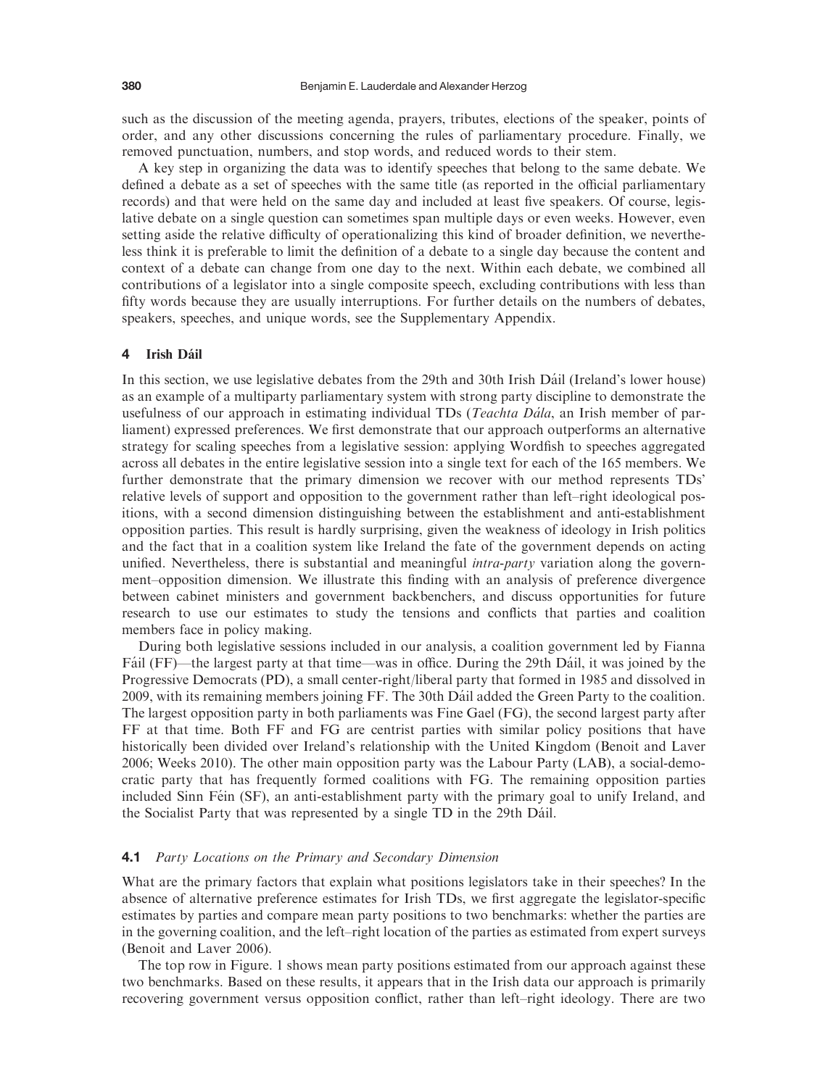such as the discussion of the meeting agenda, prayers, tributes, elections of the speaker, points of order, and any other discussions concerning the rules of parliamentary procedure. Finally, we removed punctuation, numbers, and stop words, and reduced words to their stem.

A key step in organizing the data was to identify speeches that belong to the same debate. We defined a debate as a set of speeches with the same title (as reported in the official parliamentary records) and that were held on the same day and included at least five speakers. Of course, legislative debate on a single question can sometimes span multiple days or even weeks. However, even setting aside the relative difficulty of operationalizing this kind of broader definition, we nevertheless think it is preferable to limit the definition of a debate to a single day because the content and context of a debate can change from one day to the next. Within each debate, we combined all contributions of a legislator into a single composite speech, excluding contributions with less than fifty words because they are usually interruptions. For further details on the numbers of debates, speakers, speeches, and unique words, see the [Supplementary Appendix](http://pan.oxfordjournals.org/lookup/suppl/doi:10.1093/pan/mpw017/-/DC1).

## 4 Irish Dáil

In this section, we use legislative debates from the 29th and 30th Irish Dati (Ireland's lower house) as an example of a multiparty parliamentary system with strong party discipline to demonstrate the usefulness of our approach in estimating individual TDs (*Teachta Dála*, an Irish member of parliament) expressed preferences. We first demonstrate that our approach outperforms an alternative strategy for scaling speeches from a legislative session: applying Wordfish to speeches aggregated across all debates in the entire legislative session into a single text for each of the 165 members. We further demonstrate that the primary dimension we recover with our method represents TDs' relative levels of support and opposition to the government rather than left–right ideological positions, with a second dimension distinguishing between the establishment and anti-establishment opposition parties. This result is hardly surprising, given the weakness of ideology in Irish politics and the fact that in a coalition system like Ireland the fate of the government depends on acting unified. Nevertheless, there is substantial and meaningful *intra-party* variation along the government–opposition dimension. We illustrate this finding with an analysis of preference divergence between cabinet ministers and government backbenchers, and discuss opportunities for future research to use our estimates to study the tensions and conflicts that parties and coalition members face in policy making.

During both legislative sessions included in our analysis, a coalition government led by Fianna Fa<sup>il</sup> (FF)—the largest party at that time—was in office. During the 29th Datil, it was joined by the Progressive Democrats (PD), a small center-right/liberal party that formed in 1985 and dissolved in 2009, with its remaining members joining FF. The 30th Da´il added the Green Party to the coalition. The largest opposition party in both parliaments was Fine Gael (FG), the second largest party after FF at that time. Both FF and FG are centrist parties with similar policy positions that have historically been divided over Ireland's relationship with the United Kingdom ([Benoit and Laver](#page-19-0) [2006;](#page-19-0) [Weeks 2010\)](#page-20-0). The other main opposition party was the Labour Party (LAB), a social-democratic party that has frequently formed coalitions with FG. The remaining opposition parties included Sinn Féin (SF), an anti-establishment party with the primary goal to unify Ireland, and the Socialist Party that was represented by a single TD in the 29th Dáil.

## 4.1 Party Locations on the Primary and Secondary Dimension

What are the primary factors that explain what positions legislators take in their speeches? In the absence of alternative preference estimates for Irish TDs, we first aggregate the legislator-specific estimates by parties and compare mean party positions to two benchmarks: whether the parties are in the governing coalition, and the left–right location of the parties as estimated from expert surveys ([Benoit and Laver 2006\)](#page-19-0).

The top row in [Figure. 1](#page-7-0) shows mean party positions estimated from our approach against these two benchmarks. Based on these results, it appears that in the Irish data our approach is primarily recovering government versus opposition conflict, rather than left–right ideology. There are two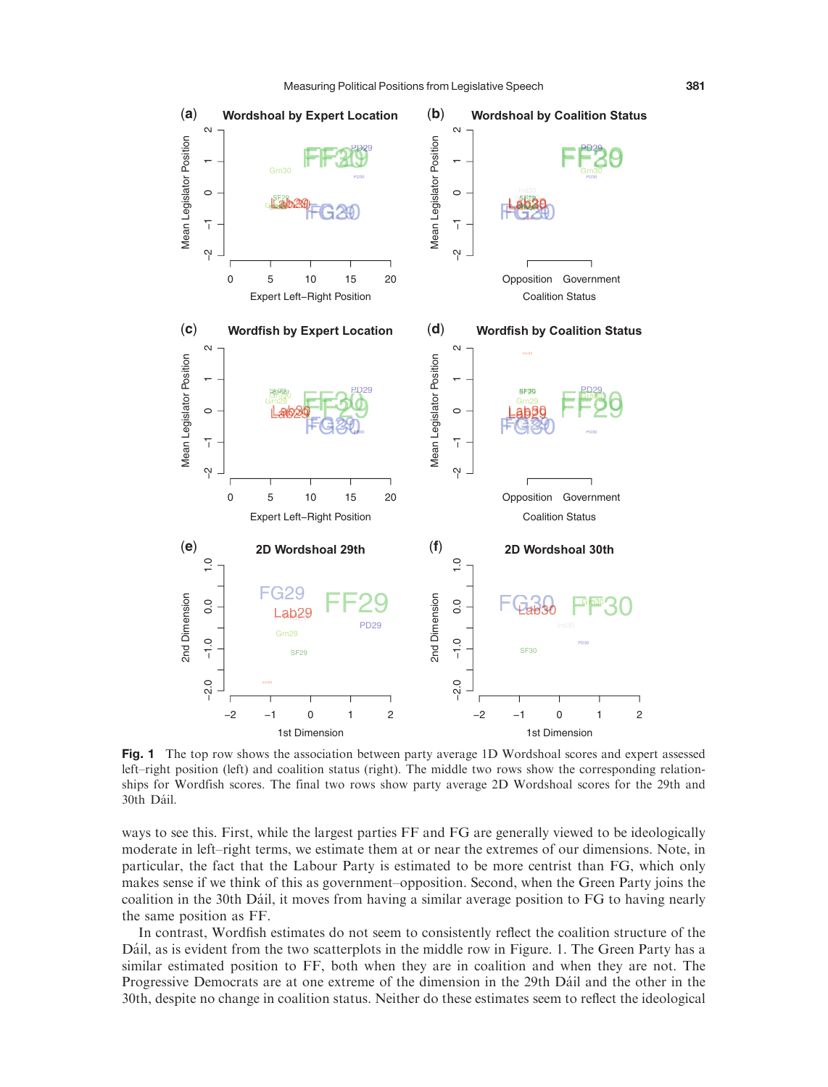<span id="page-7-0"></span>

Fig. 1 The top row shows the association between party average 1D Wordshoal scores and expert assessed left–right position (left) and coalition status (right). The middle two rows show the corresponding relationships for Wordfish scores. The final two rows show party average 2D Wordshoal scores for the 29th and 30th Dáil.

ways to see this. First, while the largest parties FF and FG are generally viewed to be ideologically moderate in left–right terms, we estimate them at or near the extremes of our dimensions. Note, in particular, the fact that the Labour Party is estimated to be more centrist than FG, which only makes sense if we think of this as government–opposition. Second, when the Green Party joins the coalition in the 30th Dáil, it moves from having a similar average position to FG to having nearly the same position as FF.

In contrast, Wordfish estimates do not seem to consistently reflect the coalition structure of the Datil, as is evident from the two scatterplots in the middle row in Figure. 1. The Green Party has a similar estimated position to FF, both when they are in coalition and when they are not. The Progressive Democrats are at one extreme of the dimension in the 29th Dáil and the other in the 30th, despite no change in coalition status. Neither do these estimates seem to reflect the ideological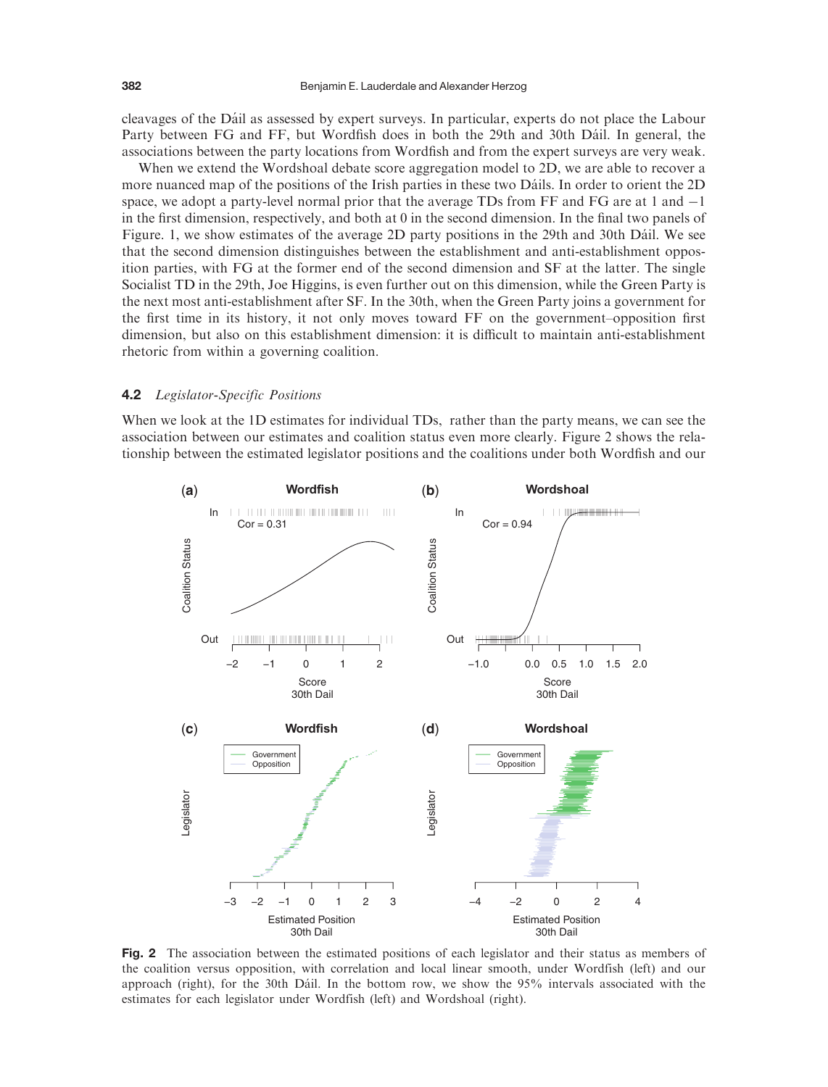<span id="page-8-0"></span>cleavages of the Da´il as assessed by expert surveys. In particular, experts do not place the Labour Party between FG and FF, but Wordfish does in both the 29th and 30th Dáil. In general, the associations between the party locations from Wordfish and from the expert surveys are very weak.

When we extend the Wordshoal debate score aggregation model to 2D, we are able to recover a more nuanced map of the positions of the Irish parties in these two Dáils. In order to orient the 2D space, we adopt a party-level normal prior that the average TDs from FF and FG are at 1 and  $-1$ in the first dimension, respectively, and both at 0 in the second dimension. In the final two panels of [Figure. 1,](#page-7-0) we show estimates of the average 2D party positions in the 29th and 30th Datil. We see that the second dimension distinguishes between the establishment and anti-establishment opposition parties, with FG at the former end of the second dimension and SF at the latter. The single Socialist TD in the 29th, Joe Higgins, is even further out on this dimension, while the Green Party is the next most anti-establishment after SF. In the 30th, when the Green Party joins a government for the first time in its history, it not only moves toward FF on the government–opposition first dimension, but also on this establishment dimension: it is difficult to maintain anti-establishment rhetoric from within a governing coalition.

### 4.2 Legislator-Specific Positions

When we look at the 1D estimates for individual TDs, rather than the party means, we can see the association between our estimates and coalition status even more clearly. Figure 2 shows the relationship between the estimated legislator positions and the coalitions under both Wordfish and our



Fig. 2 The association between the estimated positions of each legislator and their status as members of the coalition versus opposition, with correlation and local linear smooth, under Wordfish (left) and our approach (right), for the 30th Datil. In the bottom row, we show the 95% intervals associated with the estimates for each legislator under Wordfish (left) and Wordshoal (right).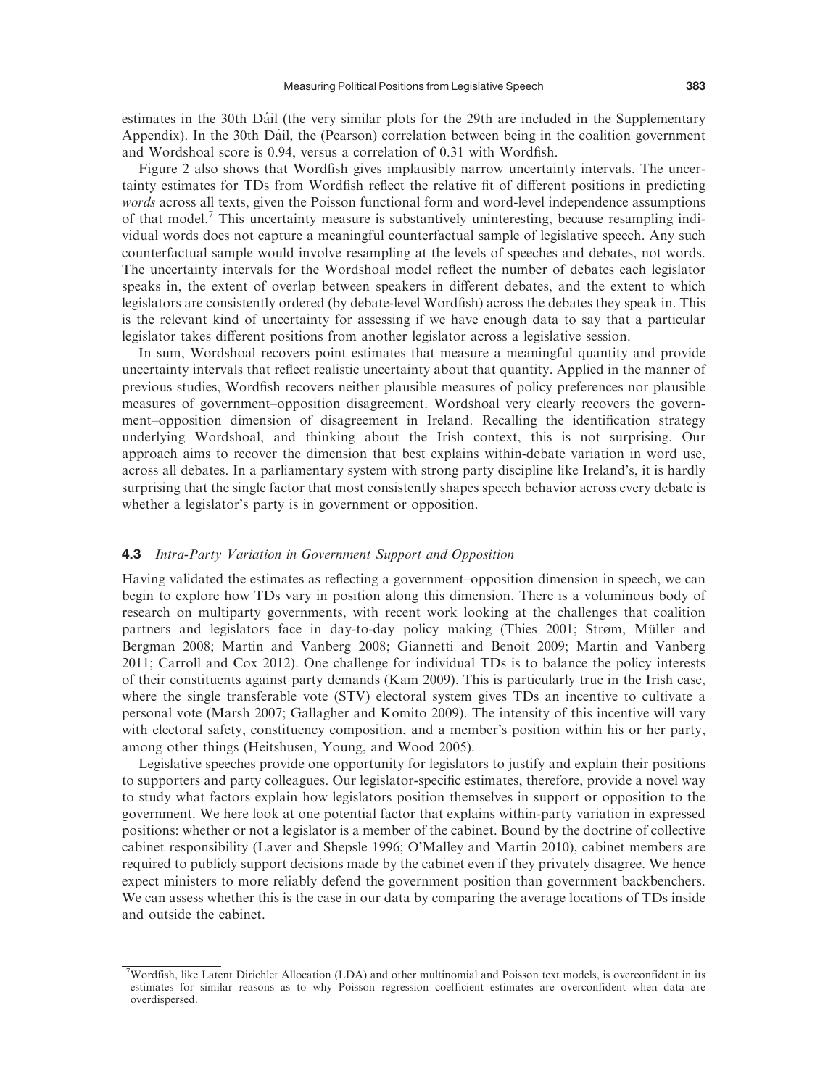estimates in the 30th Datil (the very similar plots for the 29th are included in the [Supplementary](http://pan.oxfordjournals.org/lookup/suppl/doi:10.1093/pan/mpw017/-/DC1) [Appendix](http://pan.oxfordjournals.org/lookup/suppl/doi:10.1093/pan/mpw017/-/DC1)). In the 30th Dáil, the (Pearson) correlation between being in the coalition government and Wordshoal score is 0.94, versus a correlation of 0.31 with Wordfish.

[Figure 2](#page-8-0) also shows that Wordfish gives implausibly narrow uncertainty intervals. The uncertainty estimates for TDs from Wordfish reflect the relative fit of different positions in predicting words across all texts, given the Poisson functional form and word-level independence assumptions of that model.7 This uncertainty measure is substantively uninteresting, because resampling individual words does not capture a meaningful counterfactual sample of legislative speech. Any such counterfactual sample would involve resampling at the levels of speeches and debates, not words. The uncertainty intervals for the Wordshoal model reflect the number of debates each legislator speaks in, the extent of overlap between speakers in different debates, and the extent to which legislators are consistently ordered (by debate-level Wordfish) across the debates they speak in. This is the relevant kind of uncertainty for assessing if we have enough data to say that a particular legislator takes different positions from another legislator across a legislative session.

In sum, Wordshoal recovers point estimates that measure a meaningful quantity and provide uncertainty intervals that reflect realistic uncertainty about that quantity. Applied in the manner of previous studies, Wordfish recovers neither plausible measures of policy preferences nor plausible measures of government–opposition disagreement. Wordshoal very clearly recovers the government–opposition dimension of disagreement in Ireland. Recalling the identification strategy underlying Wordshoal, and thinking about the Irish context, this is not surprising. Our approach aims to recover the dimension that best explains within-debate variation in word use, across all debates. In a parliamentary system with strong party discipline like Ireland's, it is hardly surprising that the single factor that most consistently shapes speech behavior across every debate is whether a legislator's party is in government or opposition.

### 4.3 Intra-Party Variation in Government Support and Opposition

Having validated the estimates as reflecting a government–opposition dimension in speech, we can begin to explore how TDs vary in position along this dimension. There is a voluminous body of research on multiparty governments, with recent work looking at the challenges that coalition partners and legislators face in day-to-day policy making [\(Thies 2001](#page-20-0); Strøm, Müller and [Bergman 2008](#page-20-0); [Martin and Vanberg 2008; Giannetti and Benoit 2009](#page-19-0); [Martin and Vanberg](#page-19-0) [2011; Carroll and Cox 2012\)](#page-19-0). One challenge for individual TDs is to balance the policy interests of their constituents against party demands ([Kam 2009](#page-19-0)). This is particularly true in the Irish case, where the single transferable vote (STV) electoral system gives TDs an incentive to cultivate a personal vote ([Marsh 2007](#page-19-0); [Gallagher and Komito 2009](#page-19-0)). The intensity of this incentive will vary with electoral safety, constituency composition, and a member's position within his or her party, among other things [\(Heitshusen, Young, and Wood 2005\)](#page-19-0).

Legislative speeches provide one opportunity for legislators to justify and explain their positions to supporters and party colleagues. Our legislator-specific estimates, therefore, provide a novel way to study what factors explain how legislators position themselves in support or opposition to the government. We here look at one potential factor that explains within-party variation in expressed positions: whether or not a legislator is a member of the cabinet. Bound by the doctrine of collective cabinet responsibility [\(Laver and Shepsle 1996; O'Malley and Martin 2010\)](#page-19-0), cabinet members are required to publicly support decisions made by the cabinet even if they privately disagree. We hence expect ministers to more reliably defend the government position than government backbenchers. We can assess whether this is the case in our data by comparing the average locations of TDs inside and outside the cabinet.

<sup>7</sup> Wordfish, like Latent Dirichlet Allocation (LDA) and other multinomial and Poisson text models, is overconfident in its estimates for similar reasons as to why Poisson regression coefficient estimates are overconfident when data are overdispersed.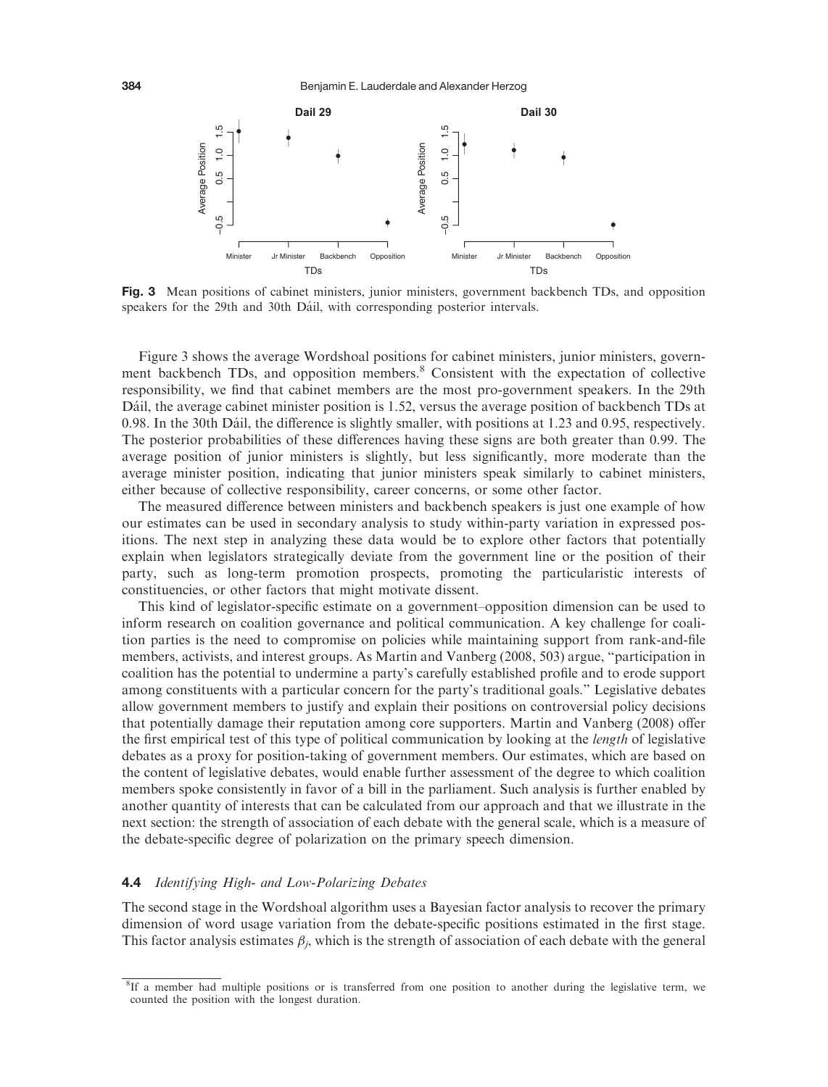

Fig. 3 Mean positions of cabinet ministers, junior ministers, government backbench TDs, and opposition speakers for the 29th and 30th Dáil, with corresponding posterior intervals.

Figure 3 shows the average Wordshoal positions for cabinet ministers, junior ministers, government backbench TDs, and opposition members.<sup>8</sup> Consistent with the expectation of collective responsibility, we find that cabinet members are the most pro-government speakers. In the 29th Dáil, the average cabinet minister position is 1.52, versus the average position of backbench TDs at 0.98. In the 30th Dáil, the difference is slightly smaller, with positions at 1.23 and 0.95, respectively. The posterior probabilities of these differences having these signs are both greater than 0.99. The average position of junior ministers is slightly, but less significantly, more moderate than the average minister position, indicating that junior ministers speak similarly to cabinet ministers, either because of collective responsibility, career concerns, or some other factor.

The measured difference between ministers and backbench speakers is just one example of how our estimates can be used in secondary analysis to study within-party variation in expressed positions. The next step in analyzing these data would be to explore other factors that potentially explain when legislators strategically deviate from the government line or the position of their party, such as long-term promotion prospects, promoting the particularistic interests of constituencies, or other factors that might motivate dissent.

This kind of legislator-specific estimate on a government–opposition dimension can be used to inform research on coalition governance and political communication. A key challenge for coalition parties is the need to compromise on policies while maintaining support from rank-and-file members, activists, and interest groups. As Martin and Vanberg ([2008,](#page-19-0) 503) argue, "participation in coalition has the potential to undermine a party's carefully established profile and to erode support among constituents with a particular concern for the party's traditional goals." Legislative debates allow government members to justify and explain their positions on controversial policy decisions that potentially damage their reputation among core supporters. Martin and Vanberg ([2008\)](#page-19-0) offer the first empirical test of this type of political communication by looking at the length of legislative debates as a proxy for position-taking of government members. Our estimates, which are based on the content of legislative debates, would enable further assessment of the degree to which coalition members spoke consistently in favor of a bill in the parliament. Such analysis is further enabled by another quantity of interests that can be calculated from our approach and that we illustrate in the next section: the strength of association of each debate with the general scale, which is a measure of the debate-specific degree of polarization on the primary speech dimension.

### 4.4 Identifying High- and Low-Polarizing Debates

The second stage in the Wordshoal algorithm uses a Bayesian factor analysis to recover the primary dimension of word usage variation from the debate-specific positions estimated in the first stage. This factor analysis estimates  $\beta_i$ , which is the strength of association of each debate with the general

<sup>&</sup>lt;sup>8</sup>If a member had multiple positions or is transferred from one position to another during the legislative term, we counted the position with the longest duration.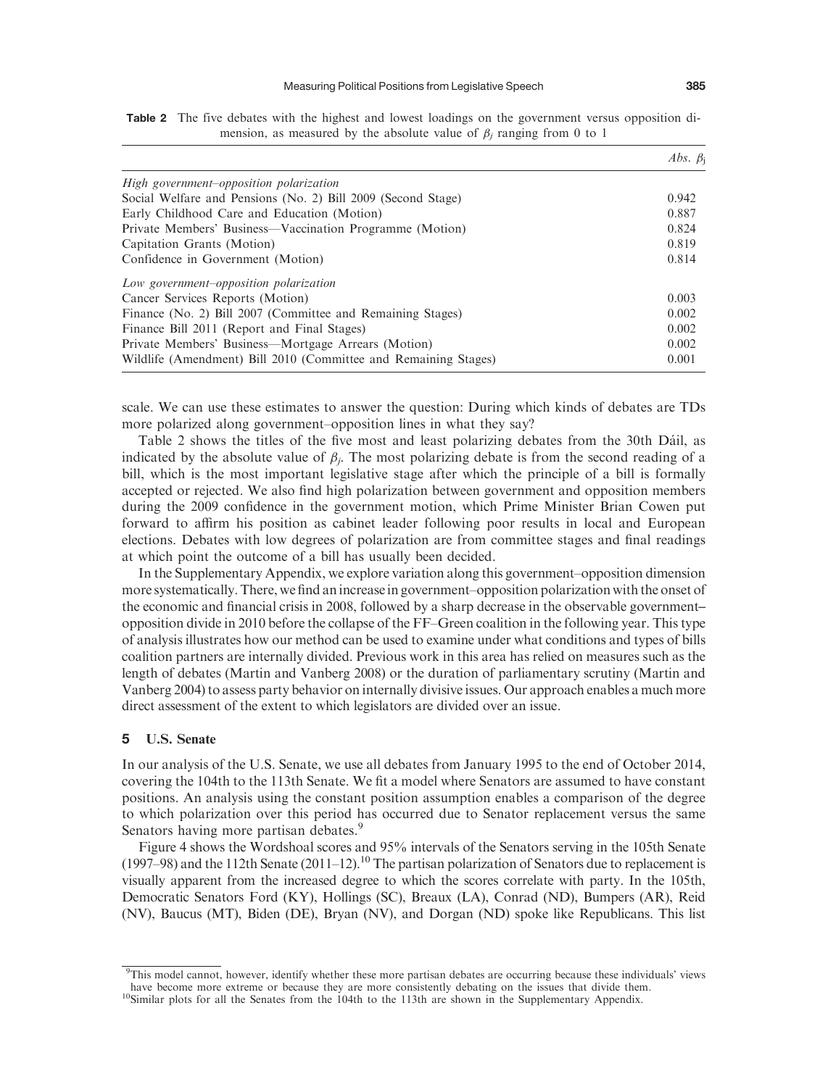#### Measuring Political Positions from Legislative Speech 385

|                                                                 | Abs. $\beta_i$ |
|-----------------------------------------------------------------|----------------|
| High government–opposition polarization                         |                |
| Social Welfare and Pensions (No. 2) Bill 2009 (Second Stage)    | 0.942          |
| Early Childhood Care and Education (Motion)                     | 0.887          |
| Private Members' Business—Vaccination Programme (Motion)        | 0.824          |
| Capitation Grants (Motion)                                      | 0.819          |
| Confidence in Government (Motion)                               | 0.814          |
| Low government–opposition polarization                          |                |
| Cancer Services Reports (Motion)                                | 0.003          |
| Finance (No. 2) Bill 2007 (Committee and Remaining Stages)      | 0.002          |
| Finance Bill 2011 (Report and Final Stages)                     | 0.002          |
| Private Members' Business—Mortgage Arrears (Motion)             | 0.002          |
| Wildlife (Amendment) Bill 2010 (Committee and Remaining Stages) | 0.001          |

**Table 2** The five debates with the highest and lowest loadings on the government versus opposition dimension, as measured by the absolute value of  $\beta_i$  ranging from 0 to 1

scale. We can use these estimates to answer the question: During which kinds of debates are TDs more polarized along government–opposition lines in what they say?

Table 2 shows the titles of the five most and least polarizing debates from the 30th Datil, as indicated by the absolute value of  $\beta_i$ . The most polarizing debate is from the second reading of a bill, which is the most important legislative stage after which the principle of a bill is formally accepted or rejected. We also find high polarization between government and opposition members during the 2009 confidence in the government motion, which Prime Minister Brian Cowen put forward to affirm his position as cabinet leader following poor results in local and European elections. Debates with low degrees of polarization are from committee stages and final readings at which point the outcome of a bill has usually been decided.

In the [Supplementary Appendix,](http://pan.oxfordjournals.org/lookup/suppl/doi:10.1093/pan/mpw017/-/DC1) we explore variation along this government–opposition dimension more systematically. There, we find an increase in government–opposition polarization with the onset of the economic and financial crisis in 2008, followed by a sharp decrease in the observable government– opposition divide in 2010 before the collapse of the FF–Green coalition in the following year. This type of analysis illustrates how our method can be used to examine under what conditions and types of bills coalition partners are internally divided. Previous work in this area has relied on measures such as the length of debates [\(Martin and Vanberg 2008](#page-19-0)) or the duration of parliamentary scrutiny [\(Martin and](#page-19-0) [Vanberg 2004\)](#page-19-0) to assess party behavior on internally divisive issues. Our approach enables a much more direct assessment of the extent to which legislators are divided over an issue.

# 5 U.S. Senate

In our analysis of the U.S. Senate, we use all debates from January 1995 to the end of October 2014, covering the 104th to the 113th Senate. We fit a model where Senators are assumed to have constant positions. An analysis using the constant position assumption enables a comparison of the degree to which polarization over this period has occurred due to Senator replacement versus the same Senators having more partisan debates.<sup>9</sup>

[Figure 4](#page-12-0) shows the Wordshoal scores and 95% intervals of the Senators serving in the 105th Senate (1997–98) and the 112th Senate (2011–12).<sup>10</sup> The partisan polarization of Senators due to replacement is visually apparent from the increased degree to which the scores correlate with party. In the 105th, Democratic Senators Ford (KY), Hollings (SC), Breaux (LA), Conrad (ND), Bumpers (AR), Reid (NV), Baucus (MT), Biden (DE), Bryan (NV), and Dorgan (ND) spoke like Republicans. This list

<sup>9</sup> This model cannot, however, identify whether these more partisan debates are occurring because these individuals' views have become more extreme or because they are more consistently debating on the issues that divide them. <sup>10</sup>Similar plots for all the Senates from the 104th to the 113th are shown in the [Supplementary Appendix.](http://pan.oxfordjournals.org/lookup/suppl/doi:10.1093/pan/mpw017/-/DC1)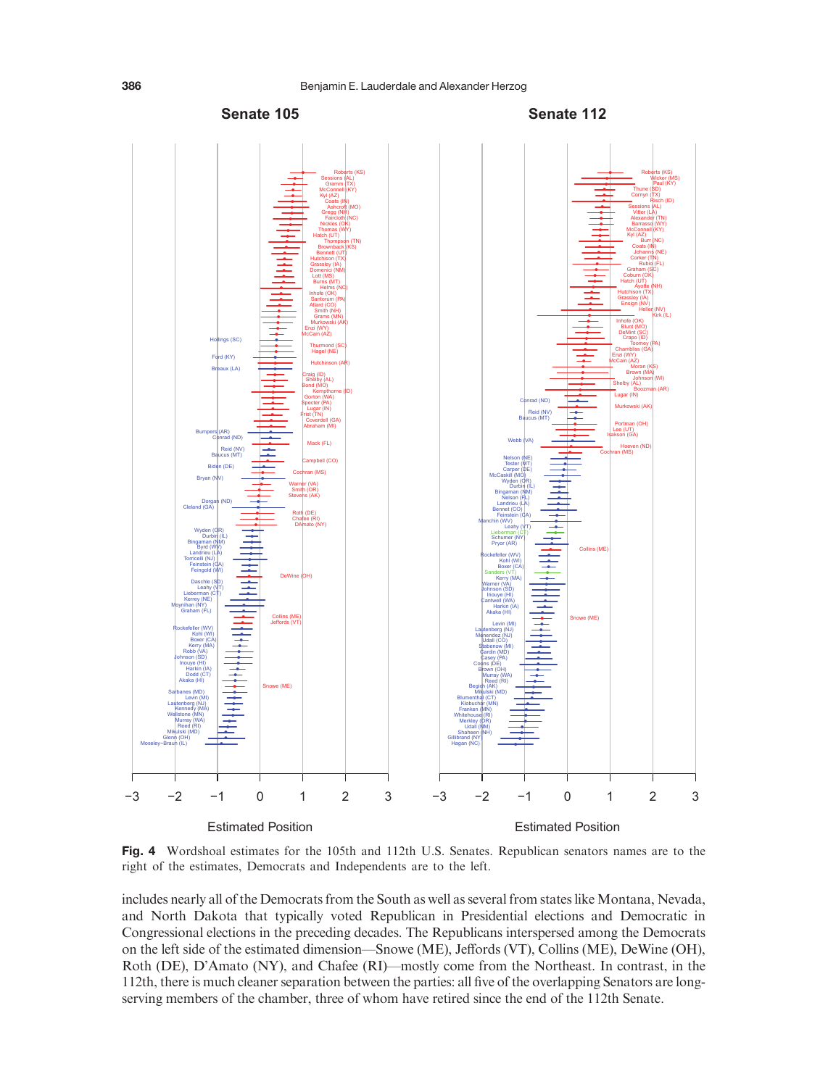<span id="page-12-0"></span>

Fig. 4 Wordshoal estimates for the 105th and 112th U.S. Senates. Republican senators names are to the right of the estimates, Democrats and Independents are to the left.

includes nearly all of the Democrats from the South as well as several from states like Montana, Nevada, and North Dakota that typically voted Republican in Presidential elections and Democratic in Congressional elections in the preceding decades. The Republicans interspersed among the Democrats on the left side of the estimated dimension—Snowe (ME), Jeffords (VT), Collins (ME), DeWine (OH), Roth (DE), D'Amato (NY), and Chafee (RI)—mostly come from the Northeast. In contrast, in the 112th, there is much cleaner separation between the parties: all five of the overlapping Senators are longserving members of the chamber, three of whom have retired since the end of the 112th Senate.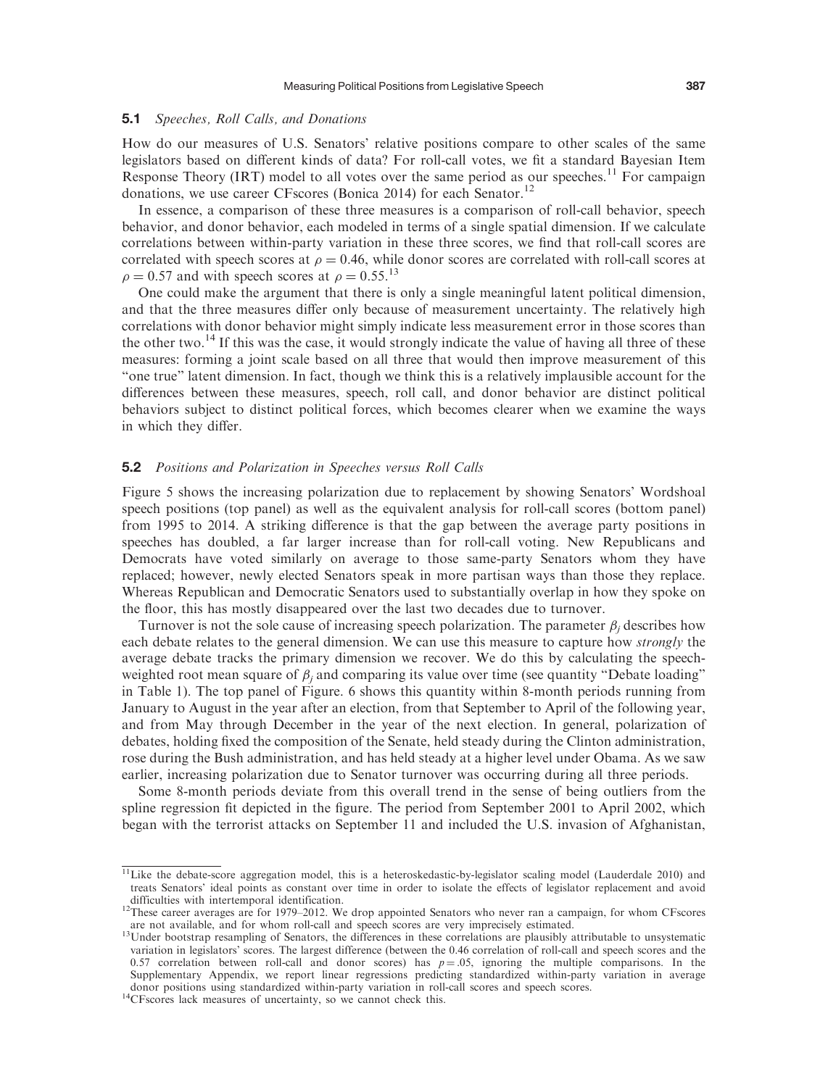# **5.1** Speeches, Roll Calls, and Donations

How do our measures of U.S. Senators' relative positions compare to other scales of the same legislators based on different kinds of data? For roll-call votes, we fit a standard Bayesian Item Response Theory (IRT) model to all votes over the same period as our speeches.<sup>11</sup> For campaign donations, we use career CFscores [\(Bonica 2014](#page-19-0)) for each Senator.<sup>12</sup>

In essence, a comparison of these three measures is a comparison of roll-call behavior, speech behavior, and donor behavior, each modeled in terms of a single spatial dimension. If we calculate correlations between within-party variation in these three scores, we find that roll-call scores are correlated with speech scores at  $\rho = 0.46$ , while donor scores are correlated with roll-call scores at  $\rho = 0.57$  and with speech scores at  $\rho = 0.55$ .<sup>13</sup>

One could make the argument that there is only a single meaningful latent political dimension, and that the three measures differ only because of measurement uncertainty. The relatively high correlations with donor behavior might simply indicate less measurement error in those scores than the other two.<sup>14</sup> If this was the case, it would strongly indicate the value of having all three of these measures: forming a joint scale based on all three that would then improve measurement of this "one true" latent dimension. In fact, though we think this is a relatively implausible account for the differences between these measures, speech, roll call, and donor behavior are distinct political behaviors subject to distinct political forces, which becomes clearer when we examine the ways in which they differ.

### 5.2 Positions and Polarization in Speeches versus Roll Calls

[Figure 5](#page-14-0) shows the increasing polarization due to replacement by showing Senators' Wordshoal speech positions (top panel) as well as the equivalent analysis for roll-call scores (bottom panel) from 1995 to 2014. A striking difference is that the gap between the average party positions in speeches has doubled, a far larger increase than for roll-call voting. New Republicans and Democrats have voted similarly on average to those same-party Senators whom they have replaced; however, newly elected Senators speak in more partisan ways than those they replace. Whereas Republican and Democratic Senators used to substantially overlap in how they spoke on the floor, this has mostly disappeared over the last two decades due to turnover.

Turnover is not the sole cause of increasing speech polarization. The parameter  $\beta_i$  describes how each debate relates to the general dimension. We can use this measure to capture how *strongly* the average debate tracks the primary dimension we recover. We do this by calculating the speechweighted root mean square of  $\beta_i$  and comparing its value over time (see quantity "Debate loading" in [Table 1\)](#page-4-0). The top panel of [Figure. 6](#page-15-0) shows this quantity within 8-month periods running from January to August in the year after an election, from that September to April of the following year, and from May through December in the year of the next election. In general, polarization of debates, holding fixed the composition of the Senate, held steady during the Clinton administration, rose during the Bush administration, and has held steady at a higher level under Obama. As we saw earlier, increasing polarization due to Senator turnover was occurring during all three periods.

Some 8-month periods deviate from this overall trend in the sense of being outliers from the spline regression fit depicted in the figure. The period from September 2001 to April 2002, which began with the terrorist attacks on September 11 and included the U.S. invasion of Afghanistan,

 $11$ Like the debate-score aggregation model, this is a heteroskedastic-by-legislator scaling model [\(Lauderdale 2010\)](#page-19-0) and treats Senators' ideal points as constant over time in order to isolate the effects of legislator replacement and avoid

diffuse career averages are for 1979–2012. We drop appointed Senators who never ran a campaign, for whom CFscores are not available, and for whom roll-call and speech scores are very imprecisely estimated.

 $13$ Under bootstrap resampling of Senators, the differences in these correlations are plausibly attributable to unsystematic variation in legislators' scores. The largest difference (between the 0.46 correlation of roll-call and speech scores and the 0.57 correlation between roll-call and donor scores) has  $p = .05$ , ignoring the multiple comparisons. In the [Supplementary Appendix,](http://pan.oxfordjournals.org/lookup/suppl/doi:10.1093/pan/mpw017/-/DC1) we report linear regressions predicting standardized within-party variation in average donor positions using standardized within-party variation in roll-call scores and speech scores. <sup>14</sup>CFscores lack measures of uncertainty, so we cannot check this.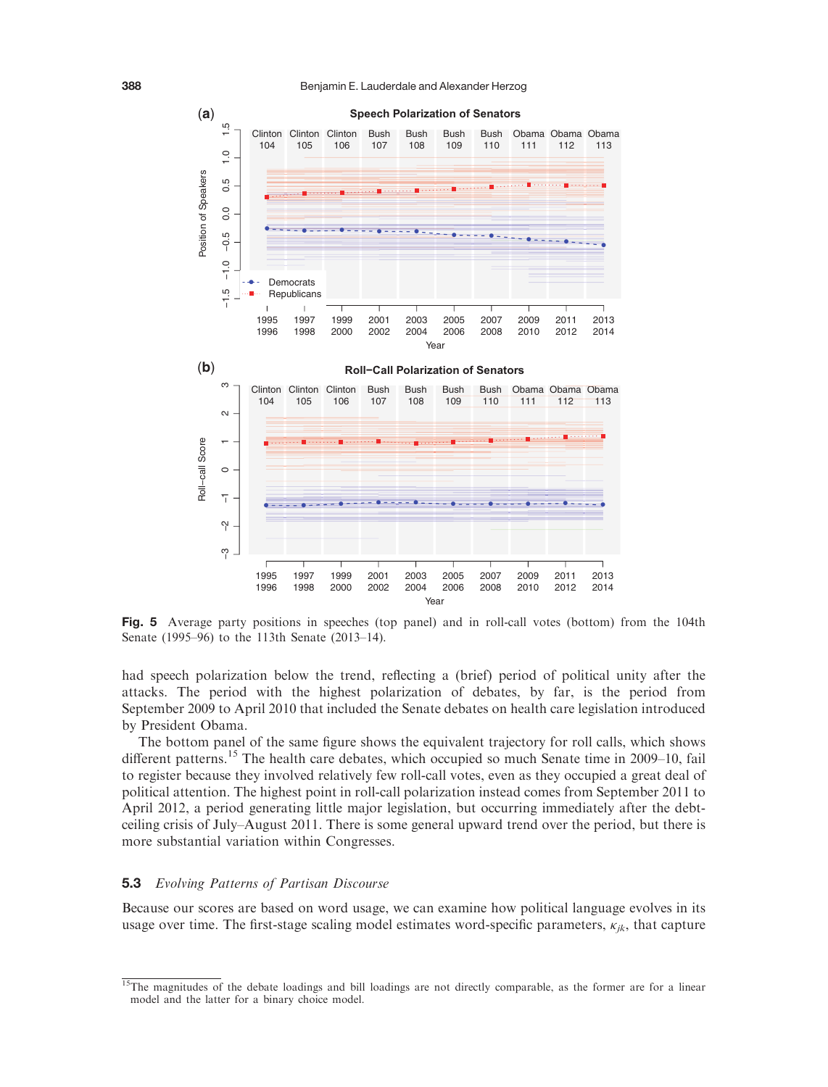#### <span id="page-14-0"></span>388 Benjamin E. Lauderdale and Alexander Herzog



Fig. 5 Average party positions in speeches (top panel) and in roll-call votes (bottom) from the 104th Senate (1995–96) to the 113th Senate (2013–14).

had speech polarization below the trend, reflecting a (brief) period of political unity after the attacks. The period with the highest polarization of debates, by far, is the period from September 2009 to April 2010 that included the Senate debates on health care legislation introduced by President Obama.

The bottom panel of the same figure shows the equivalent trajectory for roll calls, which shows different patterns.<sup>15</sup> The health care debates, which occupied so much Senate time in 2009–10, fail to register because they involved relatively few roll-call votes, even as they occupied a great deal of political attention. The highest point in roll-call polarization instead comes from September 2011 to April 2012, a period generating little major legislation, but occurring immediately after the debtceiling crisis of July–August 2011. There is some general upward trend over the period, but there is more substantial variation within Congresses.

### **5.3** Evolving Patterns of Partisan Discourse

Because our scores are based on word usage, we can examine how political language evolves in its usage over time. The first-stage scaling model estimates word-specific parameters,  $\kappa_{ik}$ , that capture

<sup>&</sup>lt;sup>15</sup>The magnitudes of the debate loadings and bill loadings are not directly comparable, as the former are for a linear model and the latter for a binary choice model.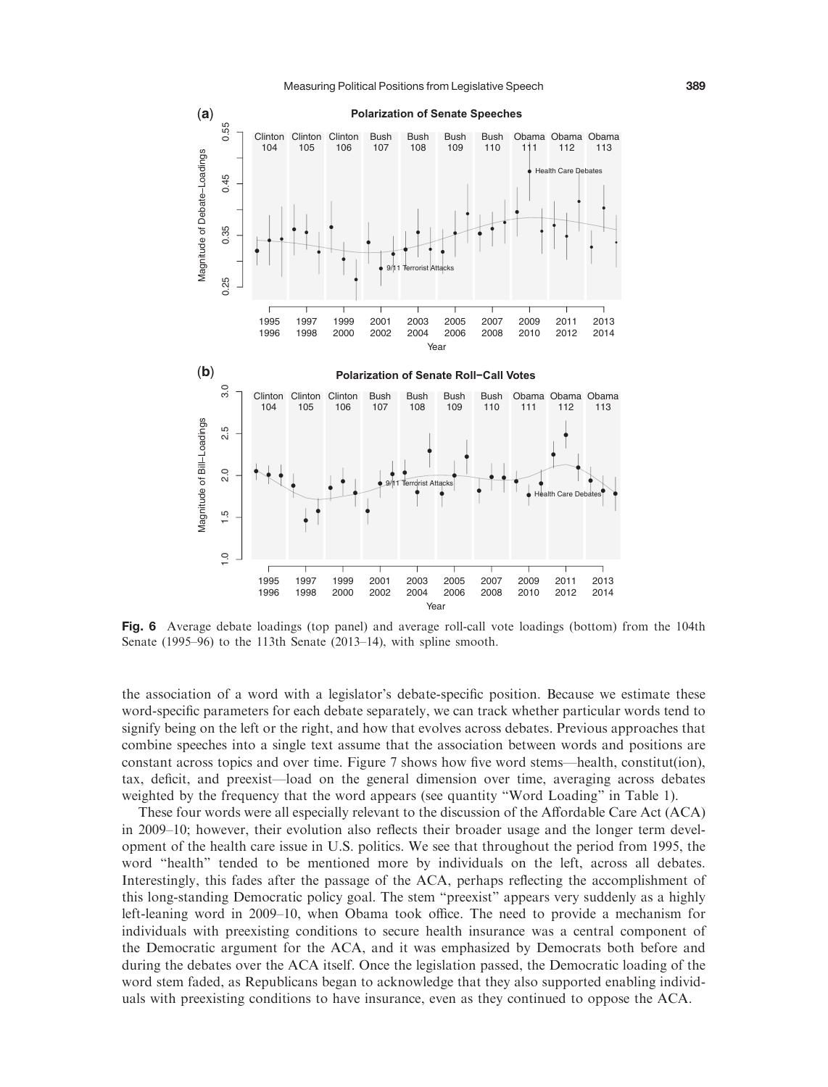#### Measuring Political Positions from Legislative Speech 389

<span id="page-15-0"></span>

Fig. 6 Average debate loadings (top panel) and average roll-call vote loadings (bottom) from the 104th Senate (1995–96) to the 113th Senate (2013–14), with spline smooth.

the association of a word with a legislator's debate-specific position. Because we estimate these word-specific parameters for each debate separately, we can track whether particular words tend to signify being on the left or the right, and how that evolves across debates. Previous approaches that combine speeches into a single text assume that the association between words and positions are constant across topics and over time. [Figure 7](#page-16-0) shows how five word stems—health, constitut(ion), tax, deficit, and preexist—load on the general dimension over time, averaging across debates weighted by the frequency that the word appears (see quantity "Word Loading" in [Table 1](#page-4-0)).

These four words were all especially relevant to the discussion of the Affordable Care Act (ACA) in 2009–10; however, their evolution also reflects their broader usage and the longer term development of the health care issue in U.S. politics. We see that throughout the period from 1995, the word "health" tended to be mentioned more by individuals on the left, across all debates. Interestingly, this fades after the passage of the ACA, perhaps reflecting the accomplishment of this long-standing Democratic policy goal. The stem "preexist" appears very suddenly as a highly left-leaning word in 2009–10, when Obama took office. The need to provide a mechanism for individuals with preexisting conditions to secure health insurance was a central component of the Democratic argument for the ACA, and it was emphasized by Democrats both before and during the debates over the ACA itself. Once the legislation passed, the Democratic loading of the word stem faded, as Republicans began to acknowledge that they also supported enabling individuals with preexisting conditions to have insurance, even as they continued to oppose the ACA.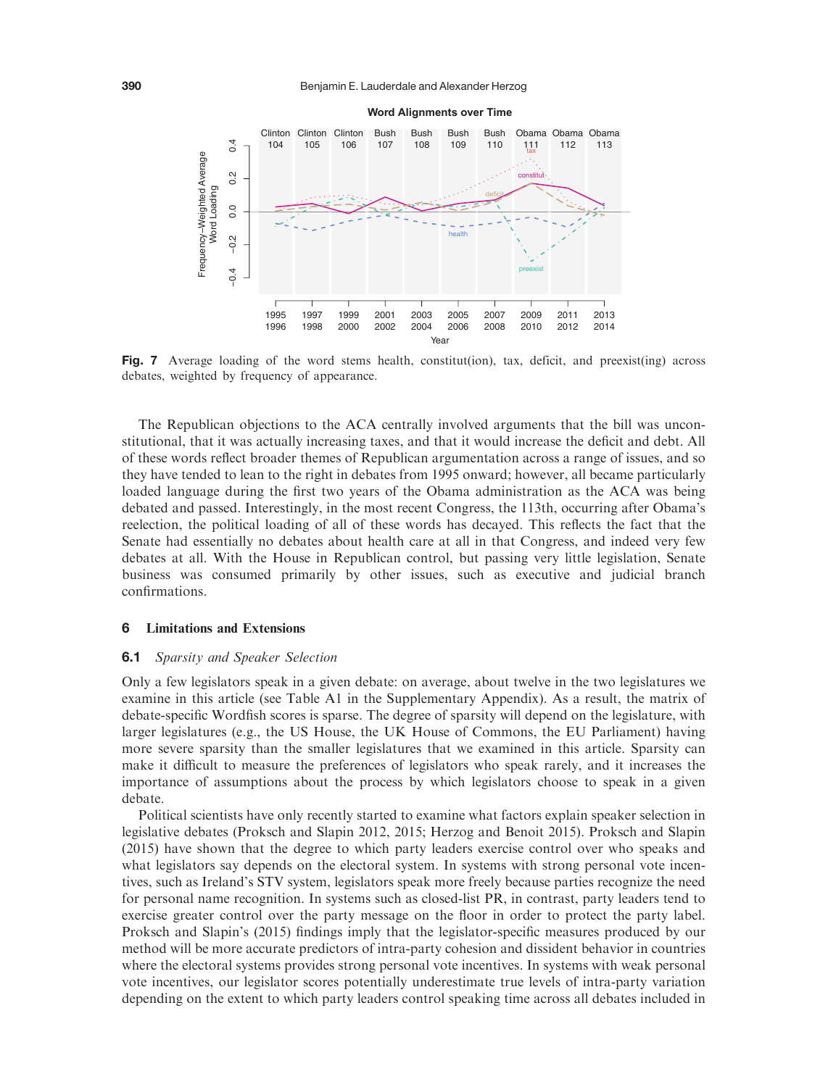<span id="page-16-0"></span>

Fig. 7 Average loading of the word stems health, constitution), tax, deficit, and preexist(ing) across debates, weighted by frequency of appearance.

The Republican objections to the ACA centrally involved arguments that the bill was unconstitutional, that it was actually increasing taxes, and that it would increase the deficit and debt. All of these words reflect broader themes of Republican argumentation across a range of issues, and so they have tended to lean to the right in debates from 1995 onward; however, all became particularly loaded language during the first two years of the Obama administration as the ACA was being debated and passed. Interestingly, in the most recent Congress, the 113th, occurring after Obama's reelection, the political loading of all of these words has decayed. This reflects the fact that the Senate had essentially no debates about health care at all in that Congress, and indeed very few debates at all. With the House in Republican control, but passing very little legislation, Senate business was consumed primarily by other issues, such as executive and judicial branch confirmations.

### 6 Limitations and Extensions

### **6.1** Sparsity and Speaker Selection

Only a few legislators speak in a given debate: on average, about twelve in the two legislatures we examine in this article (see [Table A1](http://pan.oxfordjournals.org/lookup/suppl/doi:10.1093/pan/mpw017/-/DC1) in the [Supplementary Appendix\)](http://pan.oxfordjournals.org/lookup/suppl/doi:10.1093/pan/mpw017/-/DC1). As a result, the matrix of debate-specific Wordfish scores is sparse. The degree of sparsity will depend on the legislature, with larger legislatures (e.g., the US House, the UK House of Commons, the EU Parliament) having more severe sparsity than the smaller legislatures that we examined in this article. Sparsity can make it difficult to measure the preferences of legislators who speak rarely, and it increases the importance of assumptions about the process by which legislators choose to speak in a given debate.

Political scientists have only recently started to examine what factors explain speaker selection in legislative debates ([Proksch and Slapin 2012, 2015;](#page-20-0) [Herzog and Benoit 2015](#page-19-0)). [Proksch and Slapin](#page-20-0) [\(2015\)](#page-20-0) have shown that the degree to which party leaders exercise control over who speaks and what legislators say depends on the electoral system. In systems with strong personal vote incentives, such as Ireland's STV system, legislators speak more freely because parties recognize the need for personal name recognition. In systems such as closed-list PR, in contrast, party leaders tend to exercise greater control over the party message on the floor in order to protect the party label. [Proksch and Slapin's \(2015\)](#page-20-0) findings imply that the legislator-specific measures produced by our method will be more accurate predictors of intra-party cohesion and dissident behavior in countries where the electoral systems provides strong personal vote incentives. In systems with weak personal vote incentives, our legislator scores potentially underestimate true levels of intra-party variation depending on the extent to which party leaders control speaking time across all debates included in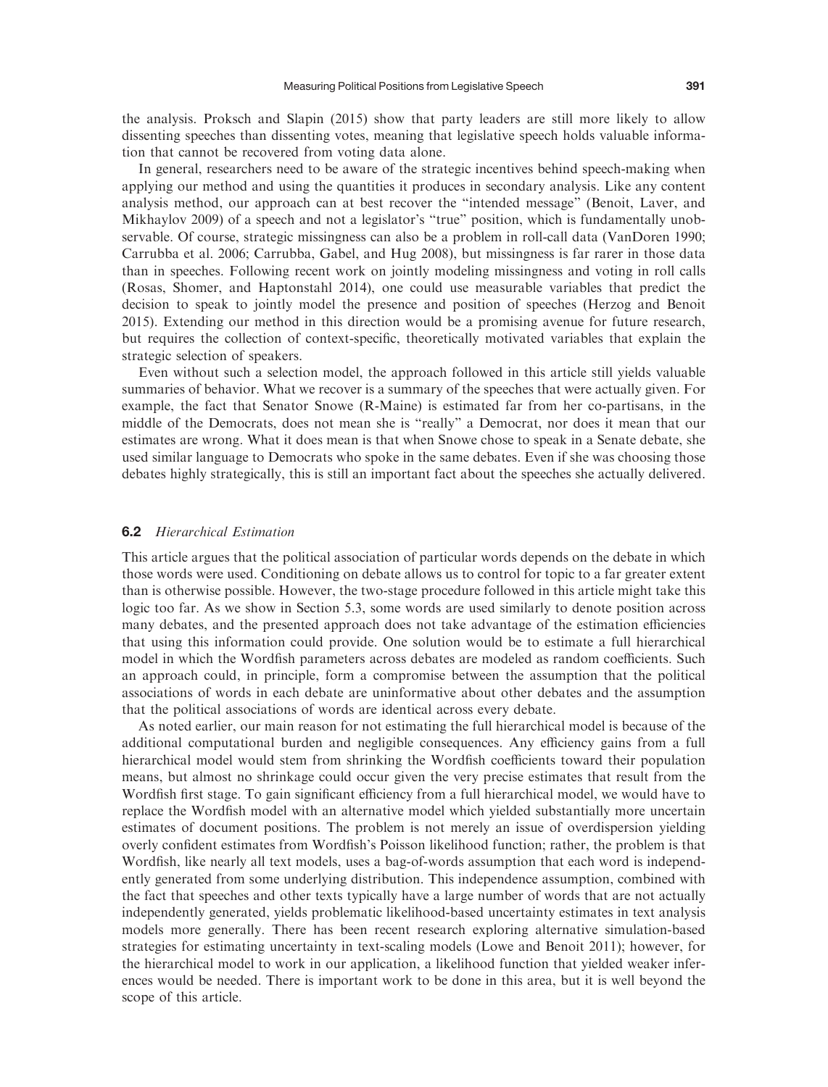the analysis. [Proksch and Slapin \(2015\)](#page-20-0) show that party leaders are still more likely to allow dissenting speeches than dissenting votes, meaning that legislative speech holds valuable information that cannot be recovered from voting data alone.

In general, researchers need to be aware of the strategic incentives behind speech-making when applying our method and using the quantities it produces in secondary analysis. Like any content analysis method, our approach can at best recover the "intended message" [\(Benoit, Laver, and](#page-19-0) [Mikhaylov 2009](#page-19-0)) of a speech and not a legislator's "true" position, which is fundamentally unobservable. Of course, strategic missingness can also be a problem in roll-call data ([VanDoren 1990;](#page-20-0) [Carrubba et al. 2006; Carrubba, Gabel, and Hug 2008\)](#page-19-0), but missingness is far rarer in those data than in speeches. Following recent work on jointly modeling missingness and voting in roll calls ([Rosas, Shomer, and Haptonstahl 2014\)](#page-20-0), one could use measurable variables that predict the decision to speak to jointly model the presence and position of speeches ([Herzog and Benoit](#page-19-0) [2015\)](#page-19-0). Extending our method in this direction would be a promising avenue for future research, but requires the collection of context-specific, theoretically motivated variables that explain the strategic selection of speakers.

Even without such a selection model, the approach followed in this article still yields valuable summaries of behavior. What we recover is a summary of the speeches that were actually given. For example, the fact that Senator Snowe (R-Maine) is estimated far from her co-partisans, in the middle of the Democrats, does not mean she is "really" a Democrat, nor does it mean that our estimates are wrong. What it does mean is that when Snowe chose to speak in a Senate debate, she used similar language to Democrats who spoke in the same debates. Even if she was choosing those debates highly strategically, this is still an important fact about the speeches she actually delivered.

### 6.2 Hierarchical Estimation

This article argues that the political association of particular words depends on the debate in which those words were used. Conditioning on debate allows us to control for topic to a far greater extent than is otherwise possible. However, the two-stage procedure followed in this article might take this logic too far. As we show in Section 5.3, some words are used similarly to denote position across many debates, and the presented approach does not take advantage of the estimation efficiencies that using this information could provide. One solution would be to estimate a full hierarchical model in which the Wordfish parameters across debates are modeled as random coefficients. Such an approach could, in principle, form a compromise between the assumption that the political associations of words in each debate are uninformative about other debates and the assumption that the political associations of words are identical across every debate.

As noted earlier, our main reason for not estimating the full hierarchical model is because of the additional computational burden and negligible consequences. Any efficiency gains from a full hierarchical model would stem from shrinking the Wordfish coefficients toward their population means, but almost no shrinkage could occur given the very precise estimates that result from the Wordfish first stage. To gain significant efficiency from a full hierarchical model, we would have to replace the Wordfish model with an alternative model which yielded substantially more uncertain estimates of document positions. The problem is not merely an issue of overdispersion yielding overly confident estimates from Wordfish's Poisson likelihood function; rather, the problem is that Wordfish, like nearly all text models, uses a bag-of-words assumption that each word is independently generated from some underlying distribution. This independence assumption, combined with the fact that speeches and other texts typically have a large number of words that are not actually independently generated, yields problematic likelihood-based uncertainty estimates in text analysis models more generally. There has been recent research exploring alternative simulation-based strategies for estimating uncertainty in text-scaling models ([Lowe and Benoit 2011\)](#page-19-0); however, for the hierarchical model to work in our application, a likelihood function that yielded weaker inferences would be needed. There is important work to be done in this area, but it is well beyond the scope of this article.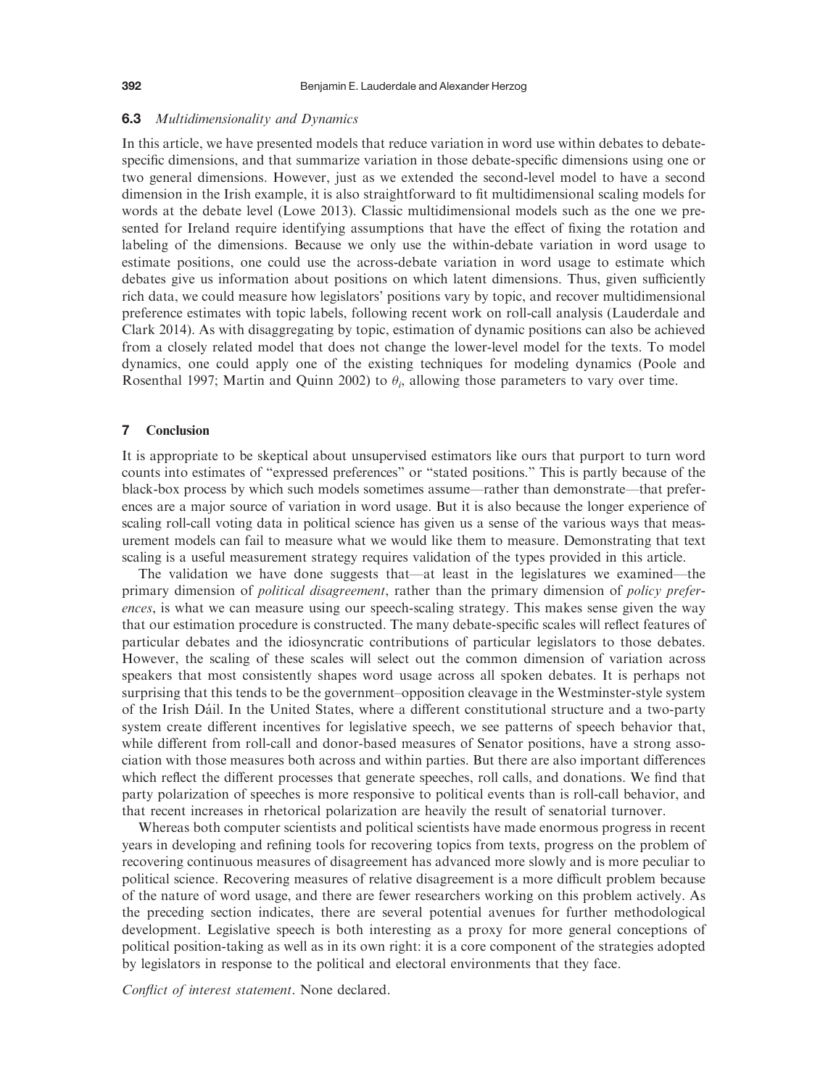# **6.3** Multidimensionality and Dynamics

In this article, we have presented models that reduce variation in word use within debates to debatespecific dimensions, and that summarize variation in those debate-specific dimensions using one or two general dimensions. However, just as we extended the second-level model to have a second dimension in the Irish example, it is also straightforward to fit multidimensional scaling models for words at the debate level [\(Lowe 2013\)](#page-19-0). Classic multidimensional models such as the one we presented for Ireland require identifying assumptions that have the effect of fixing the rotation and labeling of the dimensions. Because we only use the within-debate variation in word usage to estimate positions, one could use the across-debate variation in word usage to estimate which debates give us information about positions on which latent dimensions. Thus, given sufficiently rich data, we could measure how legislators' positions vary by topic, and recover multidimensional preference estimates with topic labels, following recent work on roll-call analysis [\(Lauderdale and](#page-19-0) [Clark 2014](#page-19-0)). As with disaggregating by topic, estimation of dynamic positions can also be achieved from a closely related model that does not change the lower-level model for the texts. To model dynamics, one could apply one of the existing techniques for modeling dynamics ([Poole and](#page-20-0) [Rosenthal 1997](#page-20-0); [Martin and Quinn 2002](#page-19-0)) to  $\theta_i$ , allowing those parameters to vary over time.

### 7 Conclusion

It is appropriate to be skeptical about unsupervised estimators like ours that purport to turn word counts into estimates of "expressed preferences" or "stated positions." This is partly because of the black-box process by which such models sometimes assume—rather than demonstrate—that preferences are a major source of variation in word usage. But it is also because the longer experience of scaling roll-call voting data in political science has given us a sense of the various ways that measurement models can fail to measure what we would like them to measure. Demonstrating that text scaling is a useful measurement strategy requires validation of the types provided in this article.

The validation we have done suggests that—at least in the legislatures we examined—the primary dimension of political disagreement, rather than the primary dimension of policy preferences, is what we can measure using our speech-scaling strategy. This makes sense given the way that our estimation procedure is constructed. The many debate-specific scales will reflect features of particular debates and the idiosyncratic contributions of particular legislators to those debates. However, the scaling of these scales will select out the common dimension of variation across speakers that most consistently shapes word usage across all spoken debates. It is perhaps not surprising that this tends to be the government–opposition cleavage in the Westminster-style system of the Irish Da´il. In the United States, where a different constitutional structure and a two-party system create different incentives for legislative speech, we see patterns of speech behavior that, while different from roll-call and donor-based measures of Senator positions, have a strong association with those measures both across and within parties. But there are also important differences which reflect the different processes that generate speeches, roll calls, and donations. We find that party polarization of speeches is more responsive to political events than is roll-call behavior, and that recent increases in rhetorical polarization are heavily the result of senatorial turnover.

Whereas both computer scientists and political scientists have made enormous progress in recent years in developing and refining tools for recovering topics from texts, progress on the problem of recovering continuous measures of disagreement has advanced more slowly and is more peculiar to political science. Recovering measures of relative disagreement is a more difficult problem because of the nature of word usage, and there are fewer researchers working on this problem actively. As the preceding section indicates, there are several potential avenues for further methodological development. Legislative speech is both interesting as a proxy for more general conceptions of political position-taking as well as in its own right: it is a core component of the strategies adopted by legislators in response to the political and electoral environments that they face.

Conflict of interest statement. None declared.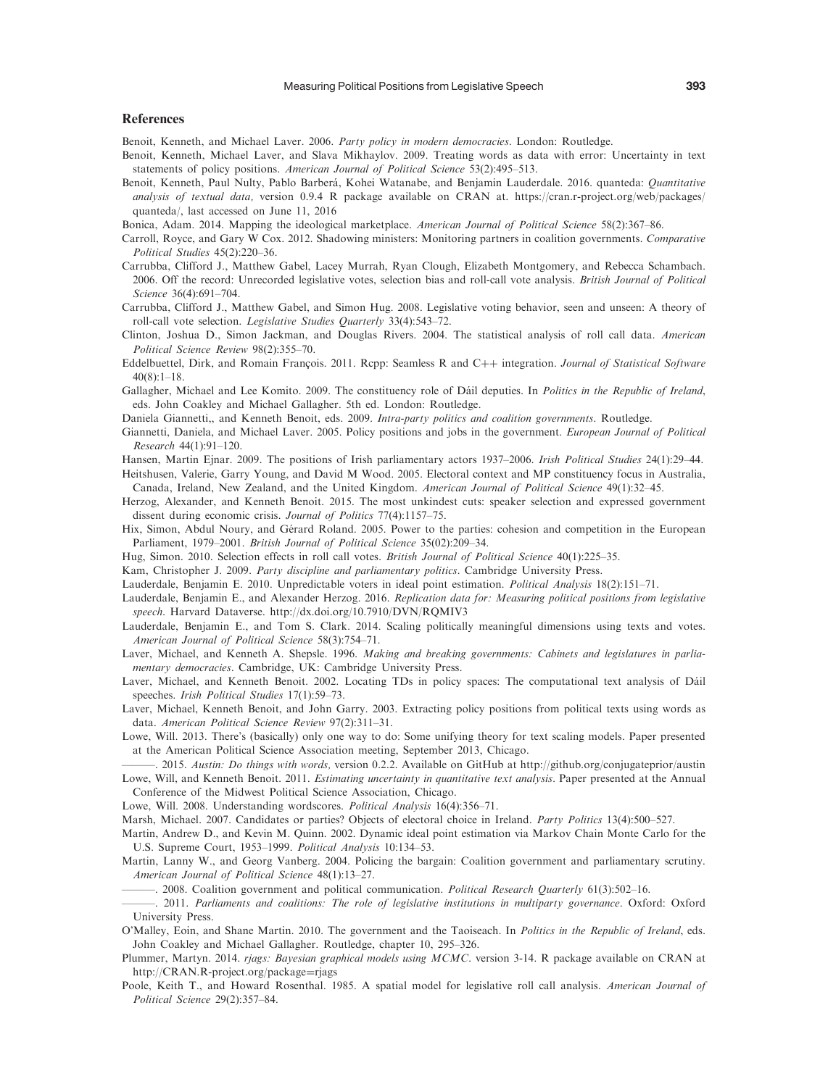#### Measuring Political Positions from Legislative Speech 393

#### <span id="page-19-0"></span>References

Benoit, Kenneth, and Michael Laver. 2006. Party policy in modern democracies. London: Routledge.

- Benoit, Kenneth, Michael Laver, and Slava Mikhaylov. 2009. Treating words as data with error: Uncertainty in text statements of policy positions. American Journal of Political Science 53(2):495–513.
- Benoit, Kenneth, Paul Nulty, Pablo Barberá, Kohei Watanabe, and Benjamin Lauderdale. 2016. quanteda: Quantitative analysis of textual data, version 0.9.4 R package available on CRAN at. [https://cran.r-project.org/web/packages/](https://cran.r-project.org/web/packages/quanteda/) [quanteda/,](https://cran.r-project.org/web/packages/quanteda/) last accessed on June 11, 2016
- Bonica, Adam. 2014. Mapping the ideological marketplace. American Journal of Political Science 58(2):367–86.
- Carroll, Royce, and Gary W Cox. 2012. Shadowing ministers: Monitoring partners in coalition governments. Comparative Political Studies 45(2):220–36.
- Carrubba, Clifford J., Matthew Gabel, Lacey Murrah, Ryan Clough, Elizabeth Montgomery, and Rebecca Schambach. 2006. Off the record: Unrecorded legislative votes, selection bias and roll-call vote analysis. British Journal of Political Science 36(4):691–704.
- Carrubba, Clifford J., Matthew Gabel, and Simon Hug. 2008. Legislative voting behavior, seen and unseen: A theory of roll-call vote selection. Legislative Studies Quarterly 33(4):543–72.
- Clinton, Joshua D., Simon Jackman, and Douglas Rivers. 2004. The statistical analysis of roll call data. American Political Science Review 98(2):355–70.
- Eddelbuettel, Dirk, and Romain François. 2011. Rcpp: Seamless R and C++ integration. Journal of Statistical Software  $40(8):1-18.$
- Gallagher, Michael and Lee Komito. 2009. The constituency role of Dáil deputies. In Politics in the Republic of Ireland, eds. John Coakley and Michael Gallagher. 5th ed. London: Routledge.
- Daniela Giannetti,, and Kenneth Benoit, eds. 2009. Intra-party politics and coalition governments. Routledge.
- Giannetti, Daniela, and Michael Laver. 2005. Policy positions and jobs in the government. European Journal of Political Research 44(1):91–120.
- Hansen, Martin Ejnar. 2009. The positions of Irish parliamentary actors 1937–2006. Irish Political Studies 24(1):29–44.
- Heitshusen, Valerie, Garry Young, and David M Wood. 2005. Electoral context and MP constituency focus in Australia, Canada, Ireland, New Zealand, and the United Kingdom. American Journal of Political Science 49(1):32–45.
- Herzog, Alexander, and Kenneth Benoit. 2015. The most unkindest cuts: speaker selection and expressed government dissent during economic crisis. Journal of Politics 77(4):1157–75.
- Hix, Simon, Abdul Noury, and Gérard Roland. 2005. Power to the parties: cohesion and competition in the European Parliament, 1979–2001. British Journal of Political Science 35(02):209–34.
- Hug, Simon. 2010. Selection effects in roll call votes. *British Journal of Political Science* 40(1):225–35.
- Kam, Christopher J. 2009. Party discipline and parliamentary politics. Cambridge University Press.
- Lauderdale, Benjamin E. 2010. Unpredictable voters in ideal point estimation. Political Analysis 18(2):151–71.
- Lauderdale, Benjamin E., and Alexander Herzog. 2016. Replication data for: Measuring political positions from legislative speech. Harvard Dataverse.<http://dx.doi.org/10.7910/DVN/RQMIV3>
- Lauderdale, Benjamin E., and Tom S. Clark. 2014. Scaling politically meaningful dimensions using texts and votes. American Journal of Political Science 58(3):754–71.
- Laver, Michael, and Kenneth A. Shepsle. 1996. Making and breaking governments: Cabinets and legislatures in parliamentary democracies. Cambridge, UK: Cambridge University Press.
- Laver, Michael, and Kenneth Benoit. 2002. Locating TDs in policy spaces: The computational text analysis of Dáil speeches. Irish Political Studies 17(1):59-73.
- Laver, Michael, Kenneth Benoit, and John Garry. 2003. Extracting policy positions from political texts using words as data. American Political Science Review 97(2):311–31.
- Lowe, Will. 2013. There's (basically) only one way to do: Some unifying theory for text scaling models. Paper presented at the American Political Science Association meeting, September 2013, Chicago.
- -. 2015. Austin: Do things with words, version 0.2.2. Available on GitHub at<http://github.org/conjugateprior/austin> Lowe, Will, and Kenneth Benoit. 2011. *Estimating uncertainty in quantitative text analysis*. Paper presented at the Annual Conference of the Midwest Political Science Association, Chicago.
- Lowe, Will. 2008. Understanding wordscores. Political Analysis 16(4):356–71.
- Marsh, Michael. 2007. Candidates or parties? Objects of electoral choice in Ireland. Party Politics 13(4):500–527.
- Martin, Andrew D., and Kevin M. Quinn. 2002. Dynamic ideal point estimation via Markov Chain Monte Carlo for the U.S. Supreme Court, 1953–1999. Political Analysis 10:134–53.
- Martin, Lanny W., and Georg Vanberg. 2004. Policing the bargain: Coalition government and parliamentary scrutiny. American Journal of Political Science 48(1):13–27.
- -. 2008. Coalition government and political communication. Political Research Quarterly 61(3):502-16.
- ———. 2011. Parliaments and coalitions: The role of legislative institutions in multiparty governance. Oxford: Oxford University Press.
- O'Malley, Eoin, and Shane Martin. 2010. The government and the Taoiseach. In Politics in the Republic of Ireland, eds. John Coakley and Michael Gallagher. Routledge, chapter 10, 295–326.
- Plummer, Martyn. 2014. rjags: Bayesian graphical models using MCMC. version 3-14. R package available on CRAN at [http://CRAN.R-project.org/package](http://CRAN.R-project.org/package=rjags)=[rjags](http://CRAN.R-project.org/package=rjags)
- Poole, Keith T., and Howard Rosenthal. 1985. A spatial model for legislative roll call analysis. American Journal of Political Science 29(2):357–84.